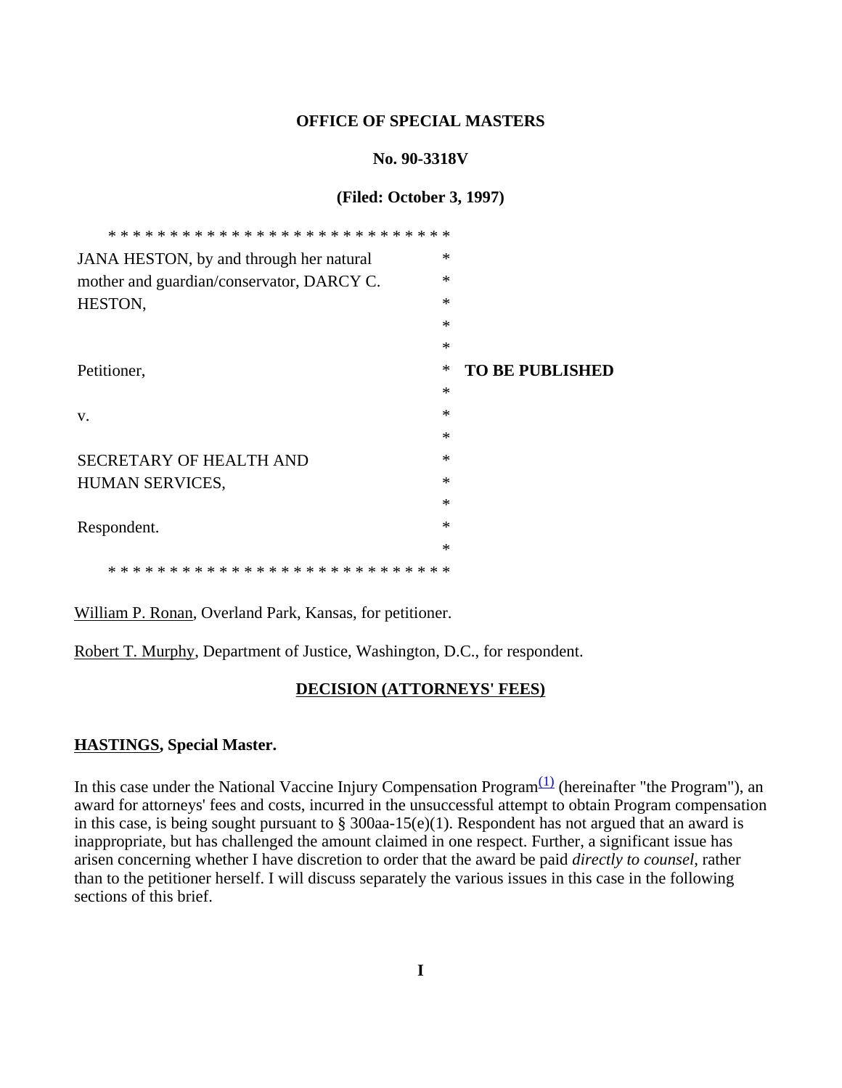### **OFFICE OF SPECIAL MASTERS**

### **No. 90-3318V**

### **(Filed: October 3, 1997)**

| JANA HESTON, by and through her natural   | $\ast$ |                        |
|-------------------------------------------|--------|------------------------|
| mother and guardian/conservator, DARCY C. | $\ast$ |                        |
| HESTON,                                   | $\ast$ |                        |
|                                           | $\ast$ |                        |
|                                           | $\ast$ |                        |
| Petitioner,                               | ∗      | <b>TO BE PUBLISHED</b> |
|                                           | $\ast$ |                        |
| V.                                        | $\ast$ |                        |
|                                           | $\ast$ |                        |
| SECRETARY OF HEALTH AND                   | $\ast$ |                        |
| HUMAN SERVICES,                           | $\ast$ |                        |
|                                           | $\ast$ |                        |
| Respondent.                               | $\ast$ |                        |
|                                           | $\ast$ |                        |
|                                           |        |                        |

William P. Ronan, Overland Park, Kansas, for petitioner.

Robert T. Murphy, Department of Justice, Washington, D.C., for respondent.

### **DECISION (ATTORNEYS' FEES)**

### **HASTINGS, Special Master.**

In this case under the National Vaccine Injury Compensation Program $(1)$  (hereinafter "the Program"), an award for attorneys' fees and costs, incurred in the unsuccessful attempt to obtain Program compensation in this case, is being sought pursuant to § 300aa-15(e)(1). Respondent has not argued that an award is inappropriate, but has challenged the amount claimed in one respect. Further, a significant issue has arisen concerning whether I have discretion to order that the award be paid *directly to counsel*, rather than to the petitioner herself. I will discuss separately the various issues in this case in the following sections of this brief.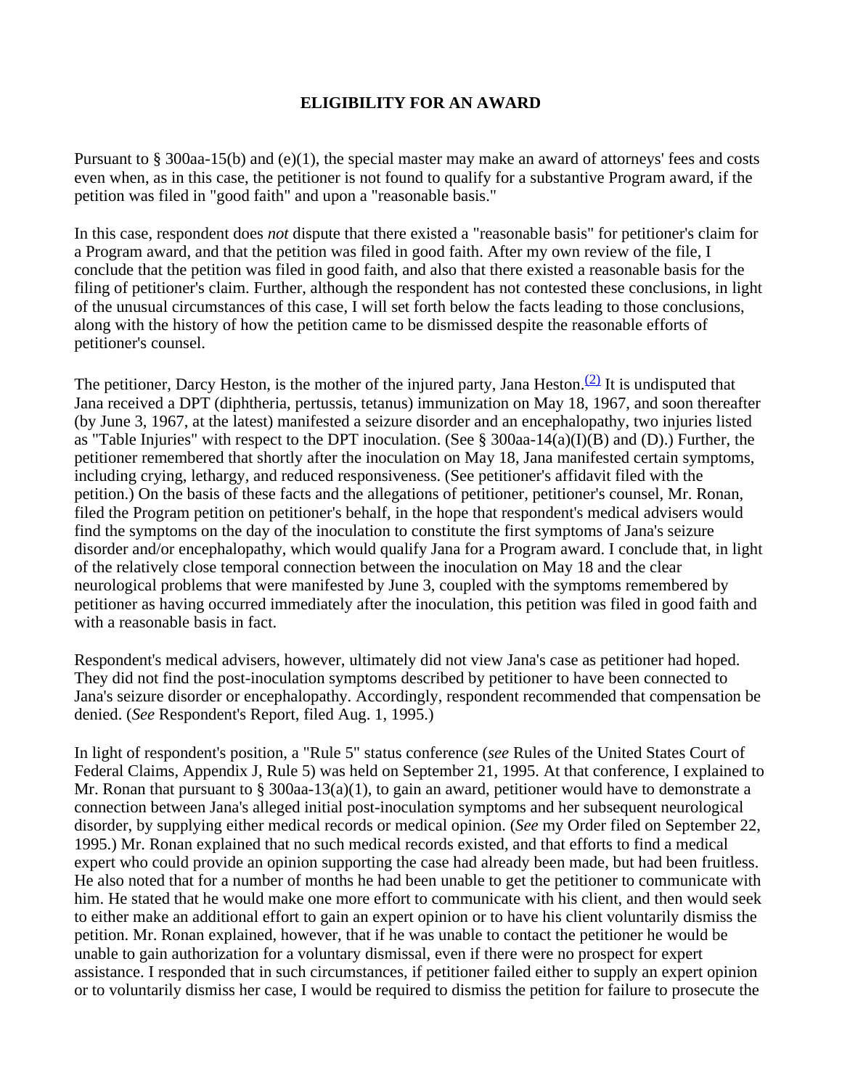## **ELIGIBILITY FOR AN AWARD**

Pursuant to § 300aa-15(b) and (e)(1), the special master may make an award of attorneys' fees and costs even when, as in this case, the petitioner is not found to qualify for a substantive Program award, if the petition was filed in "good faith" and upon a "reasonable basis."

In this case, respondent does *not* dispute that there existed a "reasonable basis" for petitioner's claim for a Program award, and that the petition was filed in good faith. After my own review of the file, I conclude that the petition was filed in good faith, and also that there existed a reasonable basis for the filing of petitioner's claim. Further, although the respondent has not contested these conclusions, in light of the unusual circumstances of this case, I will set forth below the facts leading to those conclusions, along with the history of how the petition came to be dismissed despite the reasonable efforts of petitioner's counsel.

The petitioner, Darcy Heston, is the mother of the injured party, Jana Heston.<sup>(2)</sup> It is undisputed that Jana received a DPT (diphtheria, pertussis, tetanus) immunization on May 18, 1967, and soon thereafter (by June 3, 1967, at the latest) manifested a seizure disorder and an encephalopathy, two injuries listed as "Table Injuries" with respect to the DPT inoculation. (See § 300aa-14(a)(I)(B) and (D).) Further, the petitioner remembered that shortly after the inoculation on May 18, Jana manifested certain symptoms, including crying, lethargy, and reduced responsiveness. (See petitioner's affidavit filed with the petition.) On the basis of these facts and the allegations of petitioner, petitioner's counsel, Mr. Ronan, filed the Program petition on petitioner's behalf, in the hope that respondent's medical advisers would find the symptoms on the day of the inoculation to constitute the first symptoms of Jana's seizure disorder and/or encephalopathy, which would qualify Jana for a Program award. I conclude that, in light of the relatively close temporal connection between the inoculation on May 18 and the clear neurological problems that were manifested by June 3, coupled with the symptoms remembered by petitioner as having occurred immediately after the inoculation, this petition was filed in good faith and with a reasonable basis in fact.

Respondent's medical advisers, however, ultimately did not view Jana's case as petitioner had hoped. They did not find the post-inoculation symptoms described by petitioner to have been connected to Jana's seizure disorder or encephalopathy. Accordingly, respondent recommended that compensation be denied. (*See* Respondent's Report, filed Aug. 1, 1995.)

In light of respondent's position, a "Rule 5" status conference (*see* Rules of the United States Court of Federal Claims, Appendix J, Rule 5) was held on September 21, 1995. At that conference, I explained to Mr. Ronan that pursuant to  $\S 300$ aa-13(a)(1), to gain an award, petitioner would have to demonstrate a connection between Jana's alleged initial post-inoculation symptoms and her subsequent neurological disorder, by supplying either medical records or medical opinion. (*See* my Order filed on September 22, 1995.) Mr. Ronan explained that no such medical records existed, and that efforts to find a medical expert who could provide an opinion supporting the case had already been made, but had been fruitless. He also noted that for a number of months he had been unable to get the petitioner to communicate with him. He stated that he would make one more effort to communicate with his client, and then would seek to either make an additional effort to gain an expert opinion or to have his client voluntarily dismiss the petition. Mr. Ronan explained, however, that if he was unable to contact the petitioner he would be unable to gain authorization for a voluntary dismissal, even if there were no prospect for expert assistance. I responded that in such circumstances, if petitioner failed either to supply an expert opinion or to voluntarily dismiss her case, I would be required to dismiss the petition for failure to prosecute the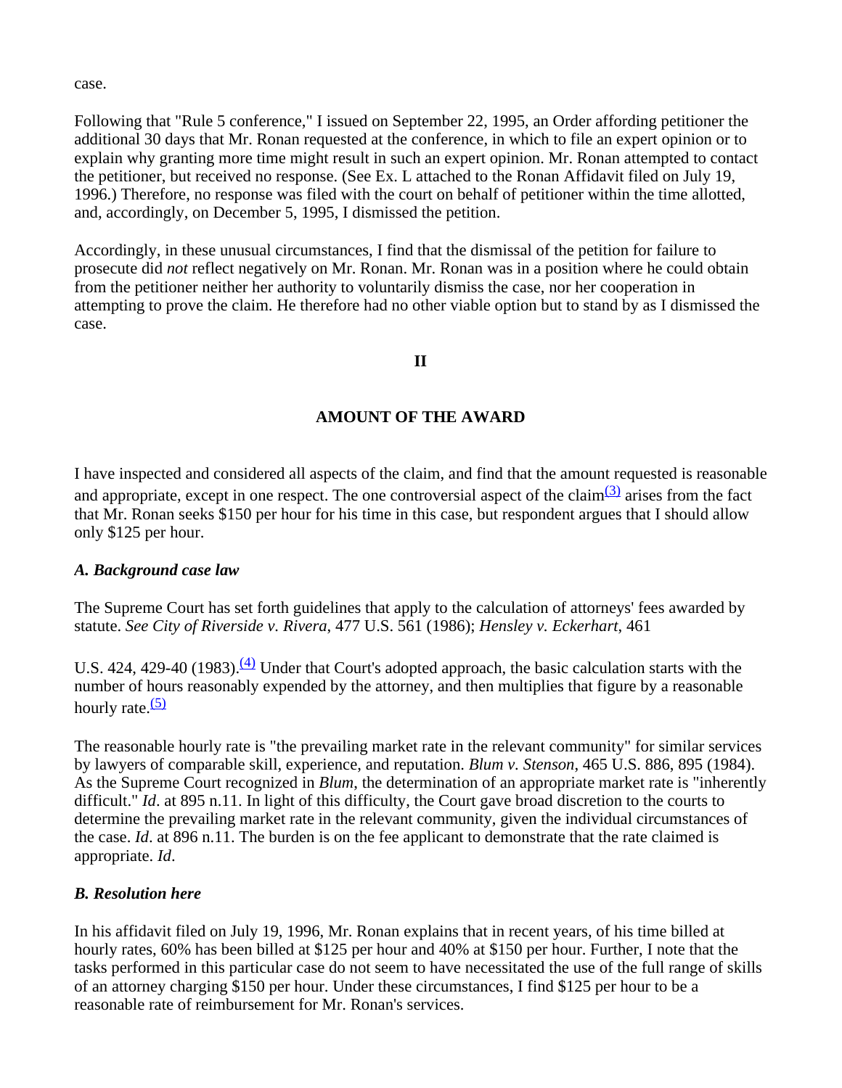case.

Following that "Rule 5 conference," I issued on September 22, 1995, an Order affording petitioner the additional 30 days that Mr. Ronan requested at the conference, in which to file an expert opinion or to explain why granting more time might result in such an expert opinion. Mr. Ronan attempted to contact the petitioner, but received no response. (See Ex. L attached to the Ronan Affidavit filed on July 19, 1996.) Therefore, no response was filed with the court on behalf of petitioner within the time allotted, and, accordingly, on December 5, 1995, I dismissed the petition.

Accordingly, in these unusual circumstances, I find that the dismissal of the petition for failure to prosecute did *not* reflect negatively on Mr. Ronan. Mr. Ronan was in a position where he could obtain from the petitioner neither her authority to voluntarily dismiss the case, nor her cooperation in attempting to prove the claim. He therefore had no other viable option but to stand by as I dismissed the case.

### **II**

## **AMOUNT OF THE AWARD**

I have inspected and considered all aspects of the claim, and find that the amount requested is reasonable and appropriate, except in one respect. The one controversial aspect of the claim $\frac{(3)}{2}$  arises from the fact that Mr. Ronan seeks \$150 per hour for his time in this case, but respondent argues that I should allow only \$125 per hour.

### *A. Background case law*

The Supreme Court has set forth guidelines that apply to the calculation of attorneys' fees awarded by statute. *See City of Riverside v. Rivera*, 477 U.S. 561 (1986); *Hensley v. Eckerhart*, 461

U.S. 424, 429-40 (1983). $\frac{(4)}{4}$  Under that Court's adopted approach, the basic calculation starts with the number of hours reasonably expended by the attorney, and then multiplies that figure by a reasonable hourly rate. $(5)$ 

The reasonable hourly rate is "the prevailing market rate in the relevant community" for similar services by lawyers of comparable skill, experience, and reputation. *Blum v. Stenson*, 465 U.S. 886, 895 (1984). As the Supreme Court recognized in *Blum*, the determination of an appropriate market rate is "inherently difficult." *Id*. at 895 n.11. In light of this difficulty, the Court gave broad discretion to the courts to determine the prevailing market rate in the relevant community, given the individual circumstances of the case. *Id*. at 896 n.11. The burden is on the fee applicant to demonstrate that the rate claimed is appropriate. *Id*.

### *B. Resolution here*

In his affidavit filed on July 19, 1996, Mr. Ronan explains that in recent years, of his time billed at hourly rates, 60% has been billed at \$125 per hour and 40% at \$150 per hour. Further, I note that the tasks performed in this particular case do not seem to have necessitated the use of the full range of skills of an attorney charging \$150 per hour. Under these circumstances, I find \$125 per hour to be a reasonable rate of reimbursement for Mr. Ronan's services.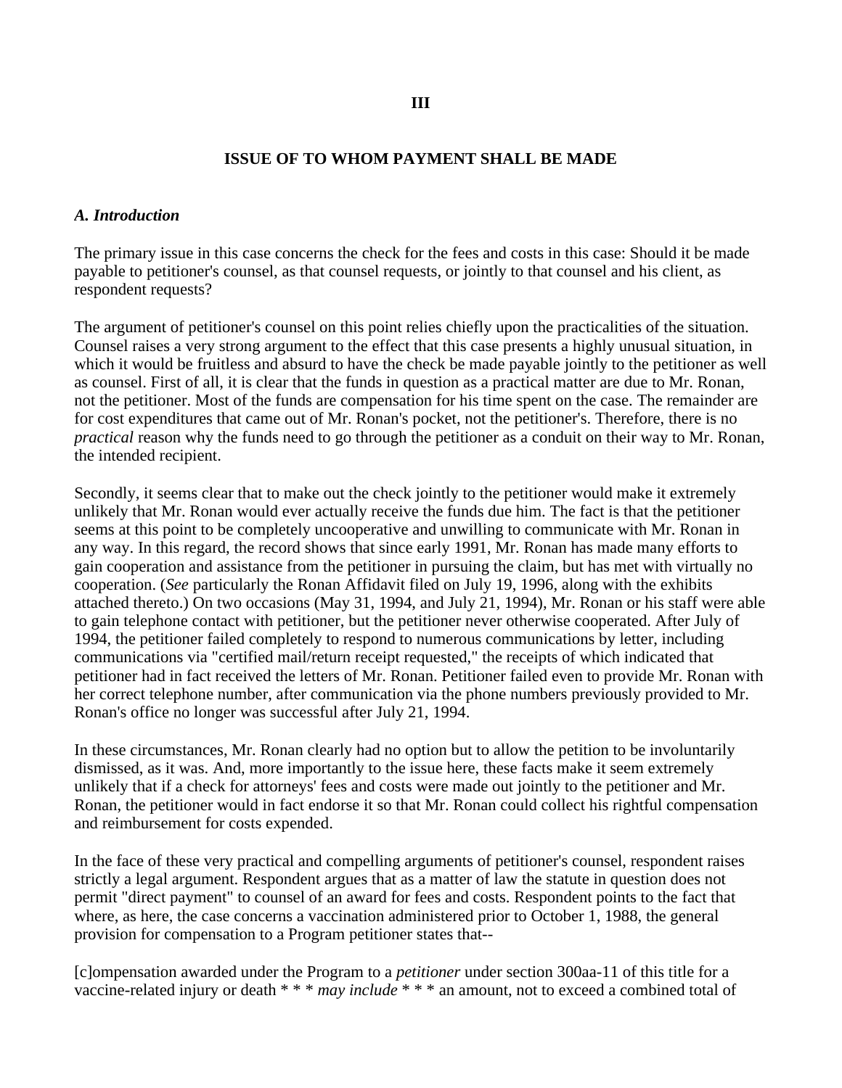### **ISSUE OF TO WHOM PAYMENT SHALL BE MADE**

#### *A. Introduction*

The primary issue in this case concerns the check for the fees and costs in this case: Should it be made payable to petitioner's counsel, as that counsel requests, or jointly to that counsel and his client, as respondent requests?

The argument of petitioner's counsel on this point relies chiefly upon the practicalities of the situation. Counsel raises a very strong argument to the effect that this case presents a highly unusual situation, in which it would be fruitless and absurd to have the check be made payable jointly to the petitioner as well as counsel. First of all, it is clear that the funds in question as a practical matter are due to Mr. Ronan, not the petitioner. Most of the funds are compensation for his time spent on the case. The remainder are for cost expenditures that came out of Mr. Ronan's pocket, not the petitioner's. Therefore, there is no *practical* reason why the funds need to go through the petitioner as a conduit on their way to Mr. Ronan, the intended recipient.

Secondly, it seems clear that to make out the check jointly to the petitioner would make it extremely unlikely that Mr. Ronan would ever actually receive the funds due him. The fact is that the petitioner seems at this point to be completely uncooperative and unwilling to communicate with Mr. Ronan in any way. In this regard, the record shows that since early 1991, Mr. Ronan has made many efforts to gain cooperation and assistance from the petitioner in pursuing the claim, but has met with virtually no cooperation. (*See* particularly the Ronan Affidavit filed on July 19, 1996, along with the exhibits attached thereto.) On two occasions (May 31, 1994, and July 21, 1994), Mr. Ronan or his staff were able to gain telephone contact with petitioner, but the petitioner never otherwise cooperated. After July of 1994, the petitioner failed completely to respond to numerous communications by letter, including communications via "certified mail/return receipt requested," the receipts of which indicated that petitioner had in fact received the letters of Mr. Ronan. Petitioner failed even to provide Mr. Ronan with her correct telephone number, after communication via the phone numbers previously provided to Mr. Ronan's office no longer was successful after July 21, 1994.

In these circumstances, Mr. Ronan clearly had no option but to allow the petition to be involuntarily dismissed, as it was. And, more importantly to the issue here, these facts make it seem extremely unlikely that if a check for attorneys' fees and costs were made out jointly to the petitioner and Mr. Ronan, the petitioner would in fact endorse it so that Mr. Ronan could collect his rightful compensation and reimbursement for costs expended.

In the face of these very practical and compelling arguments of petitioner's counsel, respondent raises strictly a legal argument. Respondent argues that as a matter of law the statute in question does not permit "direct payment" to counsel of an award for fees and costs. Respondent points to the fact that where, as here, the case concerns a vaccination administered prior to October 1, 1988, the general provision for compensation to a Program petitioner states that--

[c]ompensation awarded under the Program to a *petitioner* under section 300aa-11 of this title for a vaccine-related injury or death \* \* \* *may include* \* \* \* an amount, not to exceed a combined total of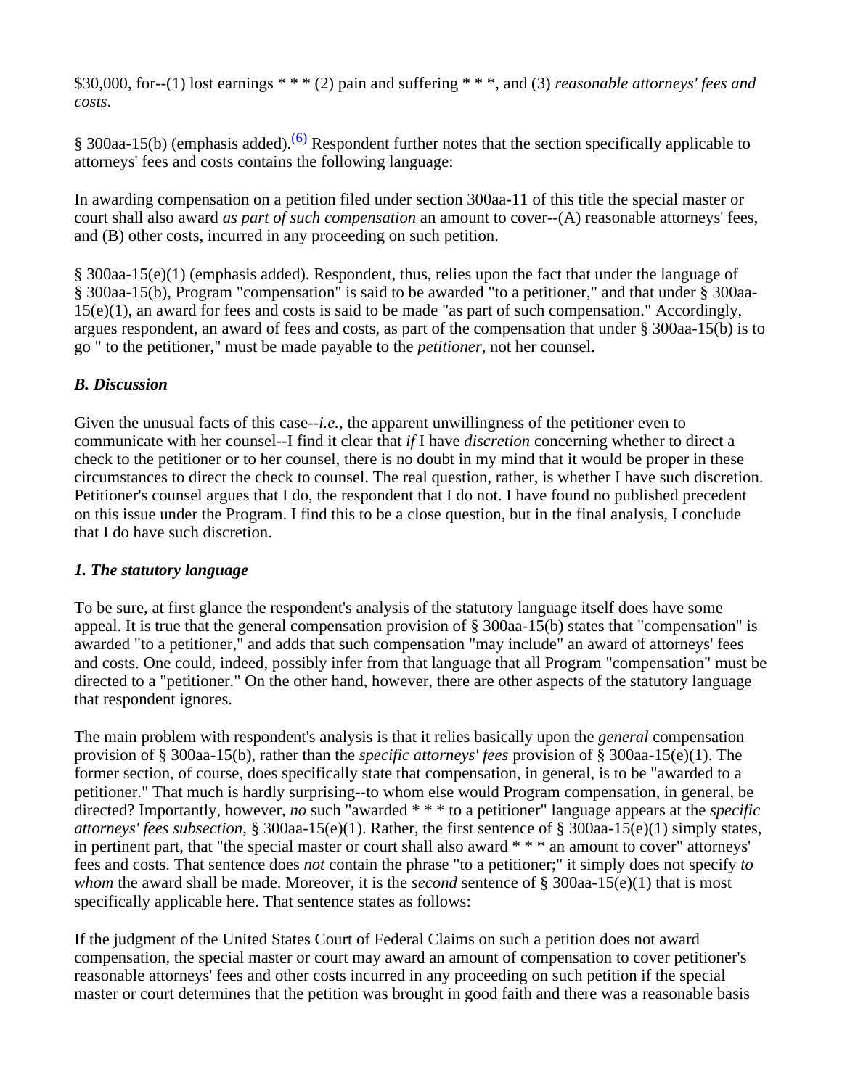\$30,000, for--(1) lost earnings \* \* \* (2) pain and suffering \* \* \*, and (3) *reasonable attorneys' fees and costs*.

§ 300aa-15(b) (emphasis added).<sup>(6)</sup> Respondent further notes that the section specifically applicable to attorneys' fees and costs contains the following language:

In awarding compensation on a petition filed under section 300aa-11 of this title the special master or court shall also award *as part of such compensation* an amount to cover--(A) reasonable attorneys' fees, and (B) other costs, incurred in any proceeding on such petition.

§ 300aa-15(e)(1) (emphasis added). Respondent, thus, relies upon the fact that under the language of § 300aa-15(b), Program "compensation" is said to be awarded "to a petitioner," and that under § 300aa-15(e)(1), an award for fees and costs is said to be made "as part of such compensation." Accordingly, argues respondent, an award of fees and costs, as part of the compensation that under § 300aa-15(b) is to go " to the petitioner," must be made payable to the *petitioner*, not her counsel.

# *B. Discussion*

Given the unusual facts of this case-*-i.e.*, the apparent unwillingness of the petitioner even to communicate with her counsel--I find it clear that *if* I have *discretion* concerning whether to direct a check to the petitioner or to her counsel, there is no doubt in my mind that it would be proper in these circumstances to direct the check to counsel. The real question, rather, is whether I have such discretion. Petitioner's counsel argues that I do, the respondent that I do not. I have found no published precedent on this issue under the Program. I find this to be a close question, but in the final analysis, I conclude that I do have such discretion.

# *1. The statutory language*

To be sure, at first glance the respondent's analysis of the statutory language itself does have some appeal. It is true that the general compensation provision of § 300aa-15(b) states that "compensation" is awarded "to a petitioner," and adds that such compensation "may include" an award of attorneys' fees and costs. One could, indeed, possibly infer from that language that all Program "compensation" must be directed to a "petitioner." On the other hand, however, there are other aspects of the statutory language that respondent ignores.

The main problem with respondent's analysis is that it relies basically upon the *general* compensation provision of § 300aa-15(b), rather than the *specific attorneys' fees* provision of § 300aa-15(e)(1). The former section, of course, does specifically state that compensation, in general, is to be "awarded to a petitioner." That much is hardly surprising--to whom else would Program compensation, in general, be directed? Importantly, however, *no* such "awarded \* \* \* to a petitioner" language appears at the *specific attorneys' fees subsection*, § 300aa-15(e)(1). Rather, the first sentence of § 300aa-15(e)(1) simply states, in pertinent part, that "the special master or court shall also award \* \* \* an amount to cover" attorneys' fees and costs. That sentence does *not* contain the phrase "to a petitioner;" it simply does not specify *to whom* the award shall be made. Moreover, it is the *second* sentence of § 300aa-15(e)(1) that is most specifically applicable here. That sentence states as follows:

If the judgment of the United States Court of Federal Claims on such a petition does not award compensation, the special master or court may award an amount of compensation to cover petitioner's reasonable attorneys' fees and other costs incurred in any proceeding on such petition if the special master or court determines that the petition was brought in good faith and there was a reasonable basis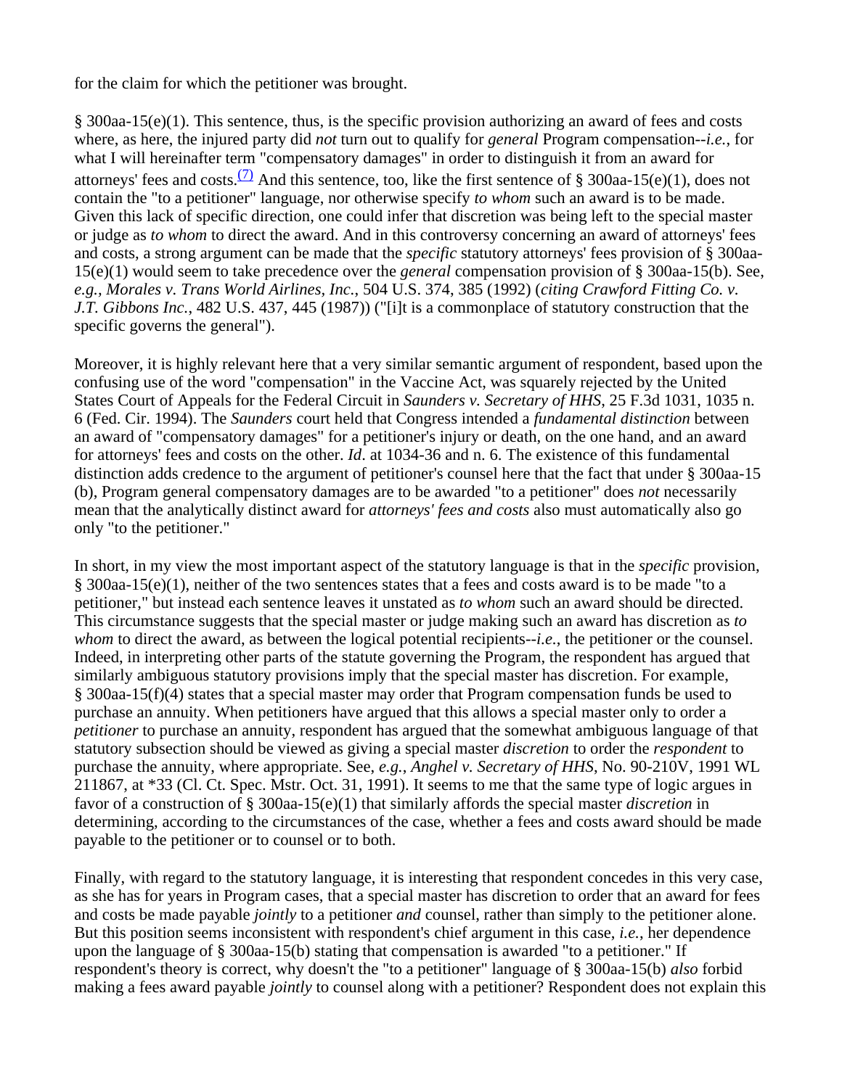for the claim for which the petitioner was brought.

§ 300aa-15(e)(1). This sentence, thus, is the specific provision authorizing an award of fees and costs where, as here, the injured party did *not* turn out to qualify for *general* Program compensation--*i.e.*, for what I will hereinafter term "compensatory damages" in order to distinguish it from an award for attorneys' fees and costs.<sup>(7)</sup> And this sentence, too, like the first sentence of § 300aa-15(e)(1), does not contain the "to a petitioner" language, nor otherwise specify *to whom* such an award is to be made. Given this lack of specific direction, one could infer that discretion was being left to the special master or judge as *to whom* to direct the award. And in this controversy concerning an award of attorneys' fees and costs, a strong argument can be made that the *specific* statutory attorneys' fees provision of § 300aa-15(e)(1) would seem to take precedence over the *general* compensation provision of § 300aa-15(b). See, *e.g., Morales v. Trans World Airlines, Inc.*, 504 U.S. 374, 385 (1992) (*citing Crawford Fitting Co. v. J.T. Gibbons Inc.*, 482 U.S. 437, 445 (1987)) ("[i]t is a commonplace of statutory construction that the specific governs the general").

Moreover, it is highly relevant here that a very similar semantic argument of respondent, based upon the confusing use of the word "compensation" in the Vaccine Act, was squarely rejected by the United States Court of Appeals for the Federal Circuit in *Saunders v. Secretary of HHS*, 25 F.3d 1031, 1035 n. 6 (Fed. Cir. 1994). The *Saunders* court held that Congress intended a *fundamental distinction* between an award of "compensatory damages" for a petitioner's injury or death, on the one hand, and an award for attorneys' fees and costs on the other. *Id*. at 1034-36 and n. 6. The existence of this fundamental distinction adds credence to the argument of petitioner's counsel here that the fact that under § 300aa-15 (b), Program general compensatory damages are to be awarded "to a petitioner" does *not* necessarily mean that the analytically distinct award for *attorneys' fees and costs* also must automatically also go only "to the petitioner."

In short, in my view the most important aspect of the statutory language is that in the *specific* provision, § 300aa-15(e)(1), neither of the two sentences states that a fees and costs award is to be made "to a petitioner," but instead each sentence leaves it unstated as *to whom* such an award should be directed. This circumstance suggests that the special master or judge making such an award has discretion as *to whom* to direct the award, as between the logical potential recipients--*i.e.*, the petitioner or the counsel. Indeed, in interpreting other parts of the statute governing the Program, the respondent has argued that similarly ambiguous statutory provisions imply that the special master has discretion. For example, § 300aa-15(f)(4) states that a special master may order that Program compensation funds be used to purchase an annuity. When petitioners have argued that this allows a special master only to order a *petitioner* to purchase an annuity, respondent has argued that the somewhat ambiguous language of that statutory subsection should be viewed as giving a special master *discretion* to order the *respondent* to purchase the annuity, where appropriate. See, *e.g.*, *Anghel v. Secretary of HHS*, No. 90-210V, 1991 WL 211867, at \*33 (Cl. Ct. Spec. Mstr. Oct. 31, 1991). It seems to me that the same type of logic argues in favor of a construction of § 300aa-15(e)(1) that similarly affords the special master *discretion* in determining, according to the circumstances of the case, whether a fees and costs award should be made payable to the petitioner or to counsel or to both.

Finally, with regard to the statutory language, it is interesting that respondent concedes in this very case, as she has for years in Program cases, that a special master has discretion to order that an award for fees and costs be made payable *jointly* to a petitioner *and* counsel, rather than simply to the petitioner alone. But this position seems inconsistent with respondent's chief argument in this case, *i.e.*, her dependence upon the language of § 300aa-15(b) stating that compensation is awarded "to a petitioner." If respondent's theory is correct, why doesn't the "to a petitioner" language of § 300aa-15(b) *also* forbid making a fees award payable *jointly* to counsel along with a petitioner? Respondent does not explain this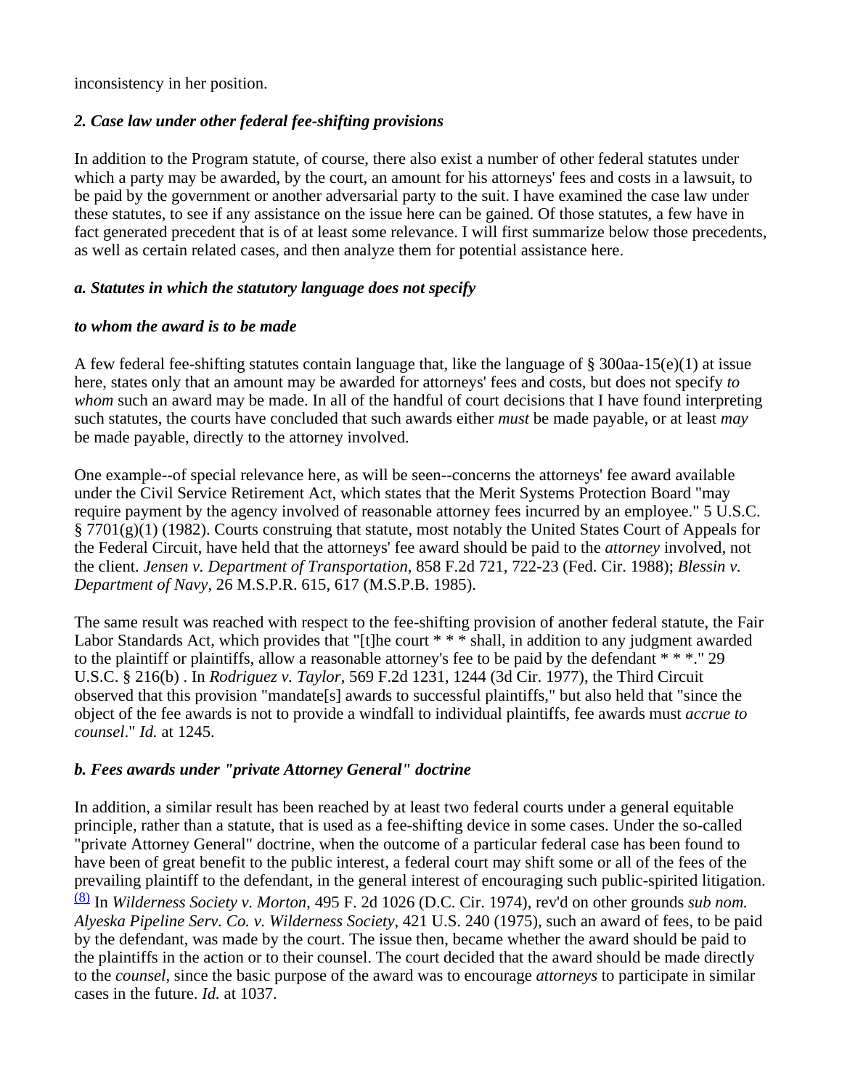inconsistency in her position.

# *2. Case law under other federal fee-shifting provisions*

In addition to the Program statute, of course, there also exist a number of other federal statutes under which a party may be awarded, by the court, an amount for his attorneys' fees and costs in a lawsuit, to be paid by the government or another adversarial party to the suit. I have examined the case law under these statutes, to see if any assistance on the issue here can be gained. Of those statutes, a few have in fact generated precedent that is of at least some relevance. I will first summarize below those precedents, as well as certain related cases, and then analyze them for potential assistance here.

# *a. Statutes in which the statutory language does not specify*

## *to whom the award is to be made*

A few federal fee-shifting statutes contain language that, like the language of § 300aa-15(e)(1) at issue here, states only that an amount may be awarded for attorneys' fees and costs, but does not specify *to whom* such an award may be made. In all of the handful of court decisions that I have found interpreting such statutes, the courts have concluded that such awards either *must* be made payable, or at least *may* be made payable, directly to the attorney involved.

One example--of special relevance here, as will be seen--concerns the attorneys' fee award available under the Civil Service Retirement Act, which states that the Merit Systems Protection Board "may require payment by the agency involved of reasonable attorney fees incurred by an employee." 5 U.S.C. § 7701(g)(1) (1982). Courts construing that statute, most notably the United States Court of Appeals for the Federal Circuit, have held that the attorneys' fee award should be paid to the *attorney* involved, not the client. *Jensen v. Department of Transportation*, 858 F.2d 721, 722-23 (Fed. Cir. 1988); *Blessin v. Department of Navy*, 26 M.S.P.R. 615, 617 (M.S.P.B. 1985).

The same result was reached with respect to the fee-shifting provision of another federal statute, the Fair Labor Standards Act, which provides that "[t]he court \* \* \* shall, in addition to any judgment awarded to the plaintiff or plaintiffs, allow a reasonable attorney's fee to be paid by the defendant \* \* \*." 29 U.S.C. § 216(b) . In *Rodriguez v. Taylor*, 569 F.2d 1231, 1244 (3d Cir. 1977), the Third Circuit observed that this provision "mandate[s] awards to successful plaintiffs," but also held that "since the object of the fee awards is not to provide a windfall to individual plaintiffs, fee awards must *accrue to counsel*." *Id.* at 1245.

# *b. Fees awards under "private Attorney General" doctrine*

In addition, a similar result has been reached by at least two federal courts under a general equitable principle, rather than a statute, that is used as a fee-shifting device in some cases. Under the so-called "private Attorney General" doctrine, when the outcome of a particular federal case has been found to have been of great benefit to the public interest, a federal court may shift some or all of the fees of the prevailing plaintiff to the defendant, in the general interest of encouraging such public-spirited litigation. (8) In *Wilderness Society v. Morton*, 495 F. 2d 1026 (D.C. Cir. 1974), rev'd on other grounds *sub nom. Alyeska Pipeline Serv. Co. v. Wilderness Society*, 421 U.S. 240 (1975), such an award of fees, to be paid by the defendant, was made by the court. The issue then, became whether the award should be paid to the plaintiffs in the action or to their counsel. The court decided that the award should be made directly to the *counsel*, since the basic purpose of the award was to encourage *attorneys* to participate in similar cases in the future. *Id.* at 1037.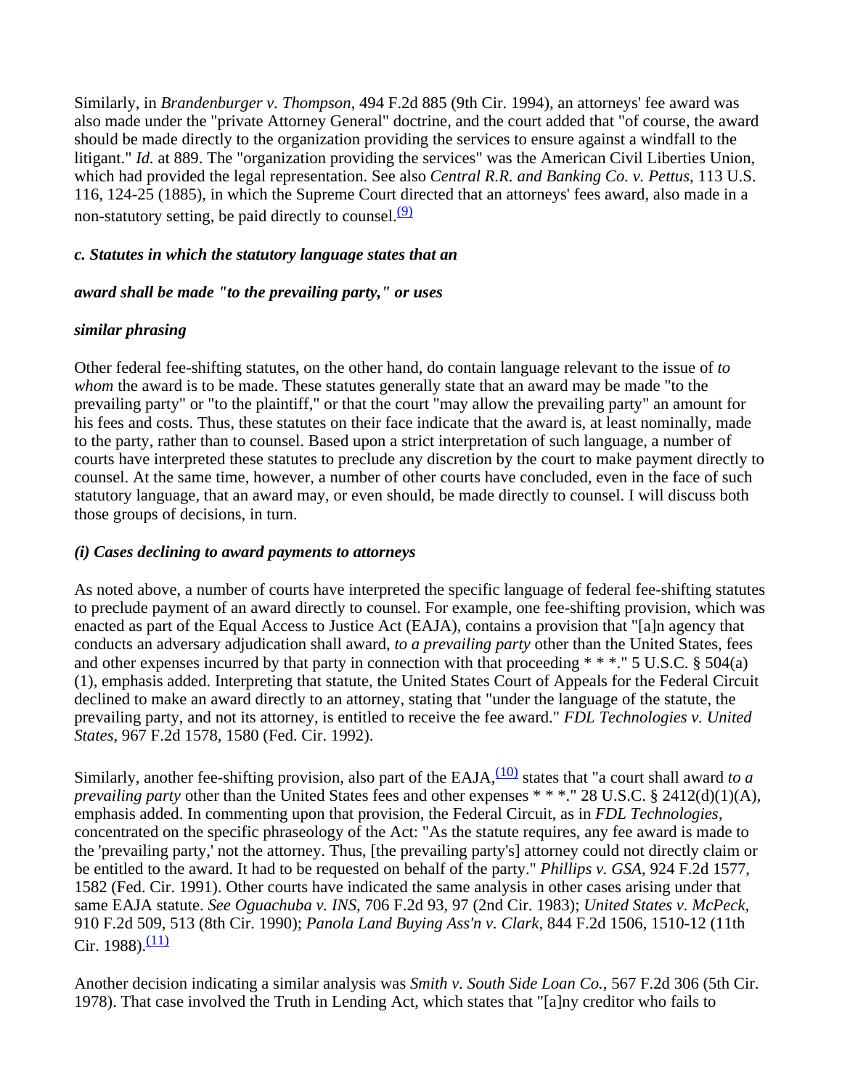Similarly, in *Brandenburger v. Thompson*, 494 F.2d 885 (9th Cir. 1994), an attorneys' fee award was also made under the "private Attorney General" doctrine, and the court added that "of course, the award should be made directly to the organization providing the services to ensure against a windfall to the litigant." *Id.* at 889. The "organization providing the services" was the American Civil Liberties Union, which had provided the legal representation. See also *Central R.R. and Banking Co. v. Pettus*, 113 U.S. 116, 124-25 (1885), in which the Supreme Court directed that an attorneys' fees award, also made in a non-statutory setting, be paid directly to counsel. $\frac{(9)}{9}$ 

### *c. Statutes in which the statutory language states that an*

### *award shall be made "to the prevailing party," or uses*

### *similar phrasing*

Other federal fee-shifting statutes, on the other hand, do contain language relevant to the issue of *to whom* the award is to be made. These statutes generally state that an award may be made "to the prevailing party" or "to the plaintiff," or that the court "may allow the prevailing party" an amount for his fees and costs. Thus, these statutes on their face indicate that the award is, at least nominally, made to the party, rather than to counsel. Based upon a strict interpretation of such language, a number of courts have interpreted these statutes to preclude any discretion by the court to make payment directly to counsel. At the same time, however, a number of other courts have concluded, even in the face of such statutory language, that an award may, or even should, be made directly to counsel. I will discuss both those groups of decisions, in turn.

### *(i) Cases declining to award payments to attorneys*

As noted above, a number of courts have interpreted the specific language of federal fee-shifting statutes to preclude payment of an award directly to counsel. For example, one fee-shifting provision, which was enacted as part of the Equal Access to Justice Act (EAJA), contains a provision that "[a]n agency that conducts an adversary adjudication shall award, *to a prevailing party* other than the United States, fees and other expenses incurred by that party in connection with that proceeding \* \* \*." 5 U.S.C. § 504(a) (1), emphasis added. Interpreting that statute, the United States Court of Appeals for the Federal Circuit declined to make an award directly to an attorney, stating that "under the language of the statute, the prevailing party, and not its attorney, is entitled to receive the fee award." *FDL Technologies v. United States*, 967 F.2d 1578, 1580 (Fed. Cir. 1992).

Similarly, another fee-shifting provision, also part of the EAJA, $\frac{(10)}{(10)}$  states that "a court shall award to a *prevailing party* other than the United States fees and other expenses \* \* \*." 28 U.S.C. § 2412(d)(1)(A), emphasis added. In commenting upon that provision, the Federal Circuit, as in *FDL Technologies*, concentrated on the specific phraseology of the Act: "As the statute requires, any fee award is made to the 'prevailing party,' not the attorney. Thus, [the prevailing party's] attorney could not directly claim or be entitled to the award. It had to be requested on behalf of the party." *Phillips v. GSA*, 924 F.2d 1577, 1582 (Fed. Cir. 1991). Other courts have indicated the same analysis in other cases arising under that same EAJA statute. *See Oguachuba v. INS*, 706 F.2d 93, 97 (2nd Cir. 1983); *United States v. McPeck*, 910 F.2d 509, 513 (8th Cir. 1990); *Panola Land Buying Ass'n v. Clark*, 844 F.2d 1506, 1510-12 (11th Cir. 1988). $\frac{(11)}{2}$ 

Another decision indicating a similar analysis was *Smith v. South Side Loan Co.*, 567 F.2d 306 (5th Cir. 1978). That case involved the Truth in Lending Act, which states that "[a]ny creditor who fails to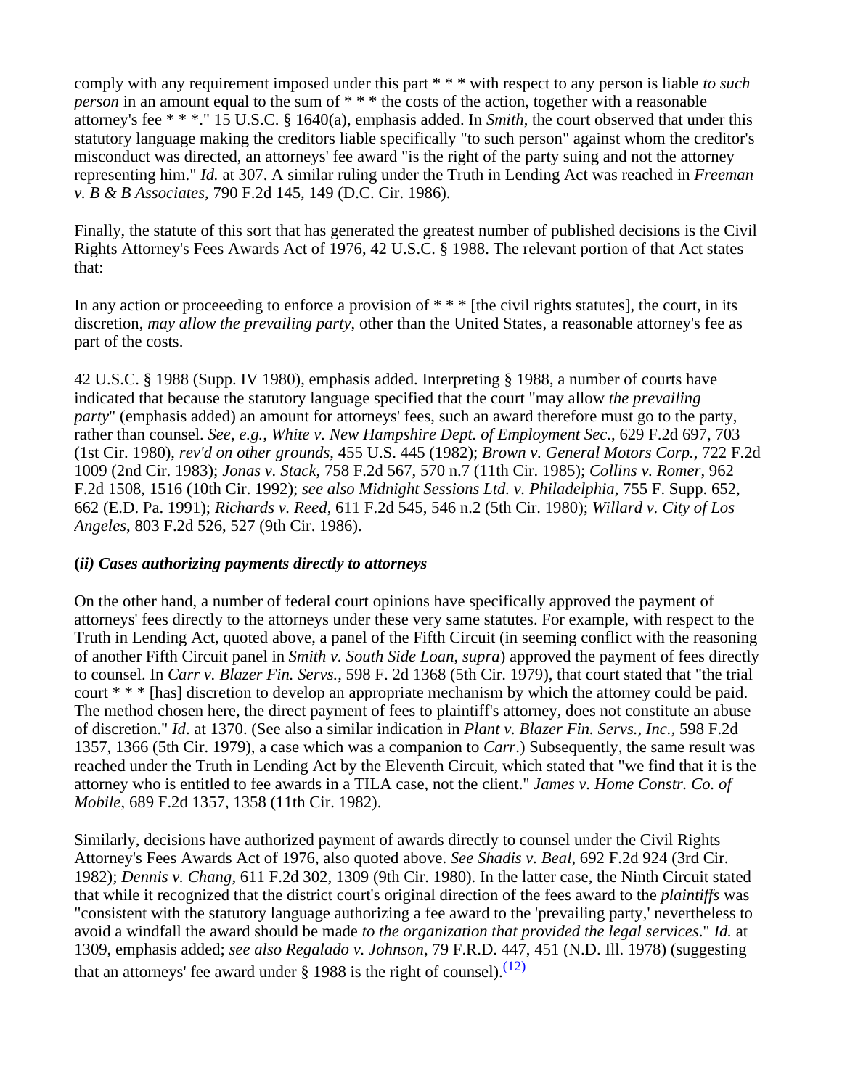comply with any requirement imposed under this part \* \* \* with respect to any person is liable *to such person* in an amount equal to the sum of \* \* \* the costs of the action, together with a reasonable attorney's fee \* \* \*." 15 U.S.C. § 1640(a), emphasis added. In *Smith*, the court observed that under this statutory language making the creditors liable specifically "to such person" against whom the creditor's misconduct was directed, an attorneys' fee award "is the right of the party suing and not the attorney representing him." *Id.* at 307. A similar ruling under the Truth in Lending Act was reached in *Freeman v. B & B Associates*, 790 F.2d 145, 149 (D.C. Cir. 1986).

Finally, the statute of this sort that has generated the greatest number of published decisions is the Civil Rights Attorney's Fees Awards Act of 1976, 42 U.S.C. § 1988. The relevant portion of that Act states that:

In any action or proceeding to enforce a provision of  $***$  [the civil rights statutes], the court, in its discretion, *may allow the prevailing party*, other than the United States, a reasonable attorney's fee as part of the costs.

42 U.S.C. § 1988 (Supp. IV 1980), emphasis added. Interpreting § 1988, a number of courts have indicated that because the statutory language specified that the court "may allow *the prevailing party*" (emphasis added) an amount for attorneys' fees, such an award therefore must go to the party, rather than counsel. *See*, *e.g., White v. New Hampshire Dept. of Employment Sec.*, 629 F.2d 697, 703 (1st Cir. 1980), *rev'd on other grounds*, 455 U.S. 445 (1982); *Brown v. General Motors Corp.,* 722 F.2d 1009 (2nd Cir. 1983); *Jonas v. Stack*, 758 F.2d 567, 570 n.7 (11th Cir. 1985); *Collins v. Romer*, 962 F.2d 1508, 1516 (10th Cir. 1992); *see also Midnight Sessions Ltd. v. Philadelphia*, 755 F. Supp. 652, 662 (E.D. Pa. 1991); *Richards v. Reed*, 611 F.2d 545, 546 n.2 (5th Cir. 1980); *Willard v. City of Los Angeles*, 803 F.2d 526, 527 (9th Cir. 1986).

### **(***ii) Cases authorizing payments directly to attorneys*

On the other hand, a number of federal court opinions have specifically approved the payment of attorneys' fees directly to the attorneys under these very same statutes. For example, with respect to the Truth in Lending Act, quoted above, a panel of the Fifth Circuit (in seeming conflict with the reasoning of another Fifth Circuit panel in *Smith v. South Side Loan*, *supra*) approved the payment of fees directly to counsel. In *Carr v. Blazer Fin. Servs.*, 598 F. 2d 1368 (5th Cir. 1979), that court stated that "the trial court \* \* \* [has] discretion to develop an appropriate mechanism by which the attorney could be paid. The method chosen here, the direct payment of fees to plaintiff's attorney, does not constitute an abuse of discretion." *Id*. at 1370. (See also a similar indication in *Plant v. Blazer Fin. Servs., Inc.*, 598 F.2d 1357, 1366 (5th Cir. 1979), a case which was a companion to *Carr*.) Subsequently, the same result was reached under the Truth in Lending Act by the Eleventh Circuit, which stated that "we find that it is the attorney who is entitled to fee awards in a TILA case, not the client." *James v. Home Constr. Co. of Mobile*, 689 F.2d 1357, 1358 (11th Cir. 1982).

Similarly, decisions have authorized payment of awards directly to counsel under the Civil Rights Attorney's Fees Awards Act of 1976, also quoted above. *See Shadis v. Beal*, 692 F.2d 924 (3rd Cir. 1982); *Dennis v. Chang*, 611 F.2d 302, 1309 (9th Cir. 1980). In the latter case, the Ninth Circuit stated that while it recognized that the district court's original direction of the fees award to the *plaintiffs* was "consistent with the statutory language authorizing a fee award to the 'prevailing party,' nevertheless to avoid a windfall the award should be made *to the organization that provided the legal services*." *Id.* at 1309, emphasis added; *see also Regalado v. Johnson*, 79 F.R.D. 447, 451 (N.D. Ill. 1978) (suggesting that an attorneys' fee award under  $\S$  1988 is the right of counsel).  $(12)$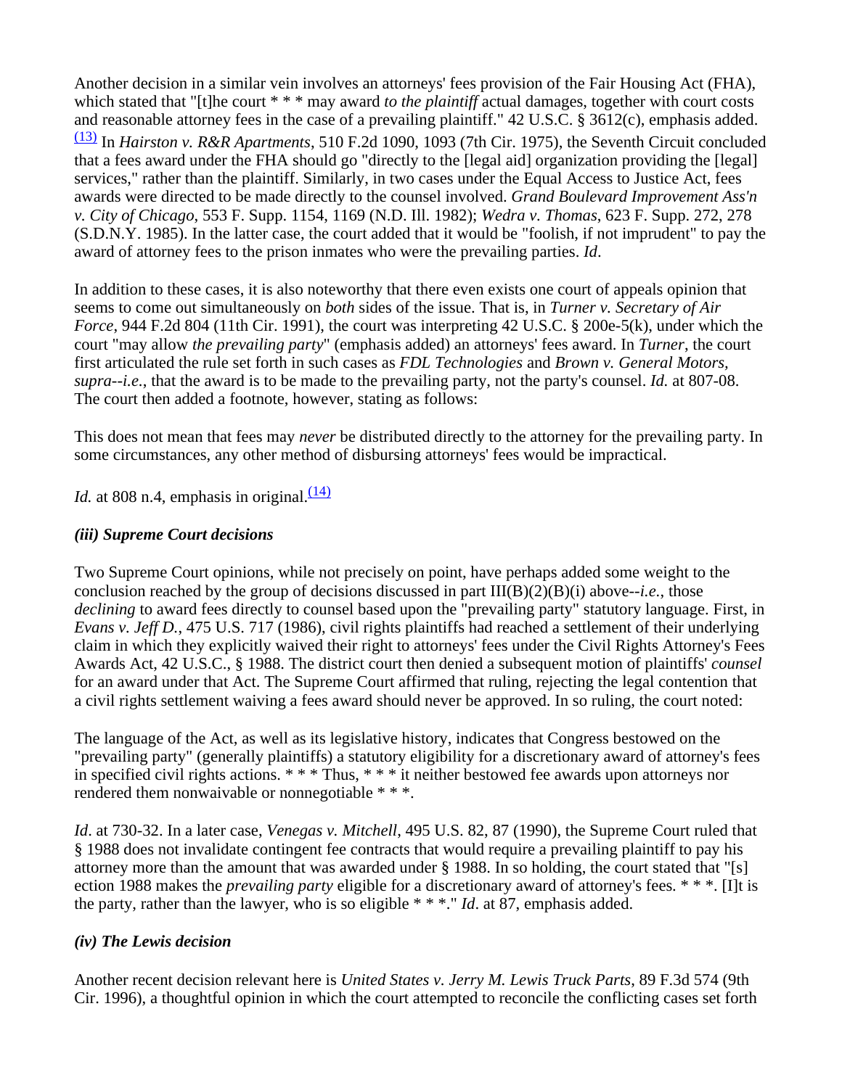Another decision in a similar vein involves an attorneys' fees provision of the Fair Housing Act (FHA), which stated that "[t]he court \* \* \* may award *to the plaintiff* actual damages, together with court costs and reasonable attorney fees in the case of a prevailing plaintiff." 42 U.S.C. § 3612(c), emphasis added. (13) In *Hairston v. R&R Apartments*, 510 F.2d 1090, 1093 (7th Cir. 1975), the Seventh Circuit concluded that a fees award under the FHA should go "directly to the [legal aid] organization providing the [legal] services," rather than the plaintiff. Similarly, in two cases under the Equal Access to Justice Act, fees awards were directed to be made directly to the counsel involved. *Grand Boulevard Improvement Ass'n v. City of Chicago*, 553 F. Supp. 1154, 1169 (N.D. Ill. 1982); *Wedra v. Thomas*, 623 F. Supp. 272, 278 (S.D.N.Y. 1985). In the latter case, the court added that it would be "foolish, if not imprudent" to pay the award of attorney fees to the prison inmates who were the prevailing parties. *Id*.

In addition to these cases, it is also noteworthy that there even exists one court of appeals opinion that seems to come out simultaneously on *both* sides of the issue. That is, in *Turner v. Secretary of Air Force*, 944 F.2d 804 (11th Cir. 1991), the court was interpreting 42 U.S.C. § 200e-5(k), under which the court "may allow *the prevailing party*" (emphasis added) an attorneys' fees award. In *Turner*, the court first articulated the rule set forth in such cases as *FDL Technologies* and *Brown v. General Motors, supra--i.e.*, that the award is to be made to the prevailing party, not the party's counsel. *Id.* at 807-08. The court then added a footnote, however, stating as follows:

This does not mean that fees may *never* be distributed directly to the attorney for the prevailing party. In some circumstances, any other method of disbursing attorneys' fees would be impractical.

*Id.* at 808 n.4, emphasis in original.  $\frac{(14)}{1}$ 

# *(iii) Supreme Court decisions*

Two Supreme Court opinions, while not precisely on point, have perhaps added some weight to the conclusion reached by the group of decisions discussed in part III(B)(2)(B)(i) above--*i.e.*, those *declining* to award fees directly to counsel based upon the "prevailing party" statutory language. First, in *Evans v. Jeff D.*, 475 U.S. 717 (1986), civil rights plaintiffs had reached a settlement of their underlying claim in which they explicitly waived their right to attorneys' fees under the Civil Rights Attorney's Fees Awards Act, 42 U.S.C., § 1988. The district court then denied a subsequent motion of plaintiffs' *counsel* for an award under that Act. The Supreme Court affirmed that ruling, rejecting the legal contention that a civil rights settlement waiving a fees award should never be approved. In so ruling, the court noted:

The language of the Act, as well as its legislative history, indicates that Congress bestowed on the "prevailing party" (generally plaintiffs) a statutory eligibility for a discretionary award of attorney's fees in specified civil rights actions. \* \* \* Thus, \* \* \* it neither bestowed fee awards upon attorneys nor rendered them nonwaivable or nonnegotiable \* \* \*.

*Id*. at 730-32. In a later case, *Venegas v. Mitchell*, 495 U.S. 82, 87 (1990), the Supreme Court ruled that § 1988 does not invalidate contingent fee contracts that would require a prevailing plaintiff to pay his attorney more than the amount that was awarded under § 1988. In so holding, the court stated that "[s] ection 1988 makes the *prevailing party* eligible for a discretionary award of attorney's fees. \* \* \*. [I]t is the party, rather than the lawyer, who is so eligible \* \* \*." *Id*. at 87, emphasis added.

# *(iv) The Lewis decision*

Another recent decision relevant here is *United States v. Jerry M. Lewis Truck Parts*, 89 F.3d 574 (9th Cir. 1996), a thoughtful opinion in which the court attempted to reconcile the conflicting cases set forth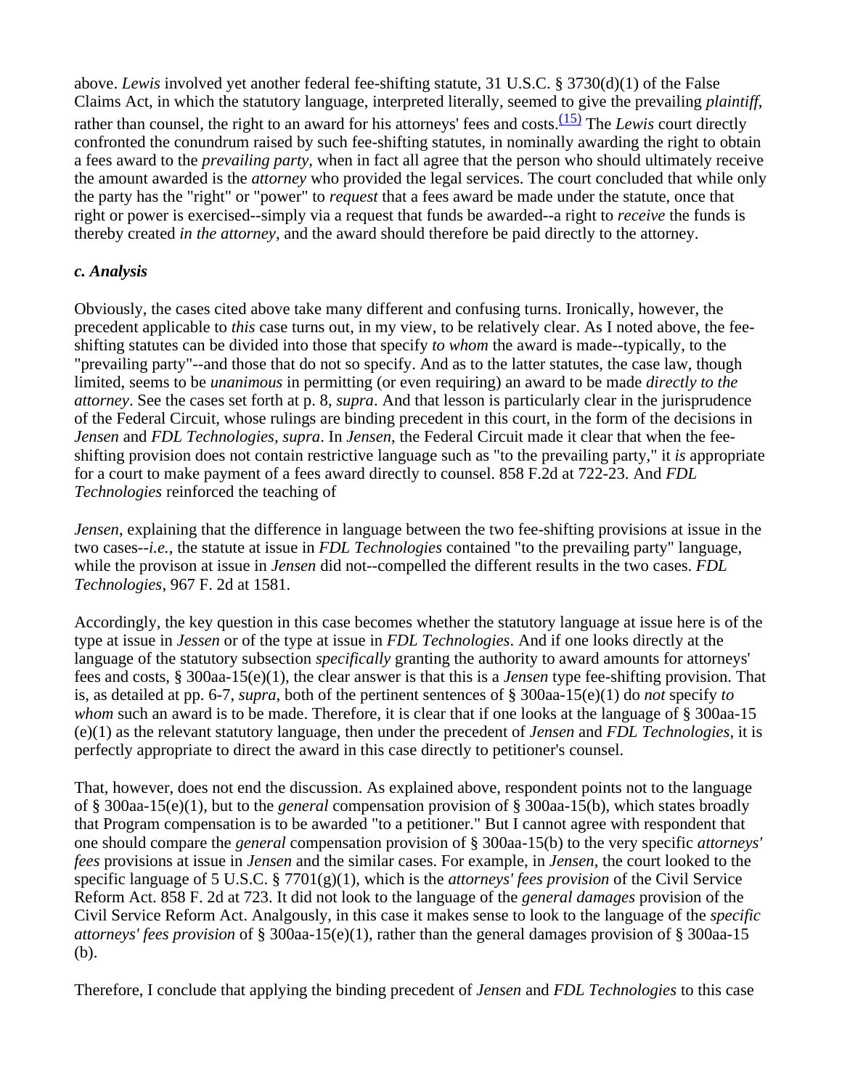above. *Lewis* involved yet another federal fee-shifting statute, 31 U.S.C. § 3730(d)(1) of the False Claims Act, in which the statutory language, interpreted literally, seemed to give the prevailing *plaintiff*, rather than counsel, the right to an award for his attorneys' fees and costs.<sup>(15)</sup> The *Lewis* court directly confronted the conundrum raised by such fee-shifting statutes, in nominally awarding the right to obtain a fees award to the *prevailing party*, when in fact all agree that the person who should ultimately receive the amount awarded is the *attorney* who provided the legal services. The court concluded that while only the party has the "right" or "power" to *request* that a fees award be made under the statute, once that right or power is exercised--simply via a request that funds be awarded--a right to *receive* the funds is thereby created *in the attorney*, and the award should therefore be paid directly to the attorney.

# *c. Analysis*

Obviously, the cases cited above take many different and confusing turns. Ironically, however, the precedent applicable to *this* case turns out, in my view, to be relatively clear. As I noted above, the feeshifting statutes can be divided into those that specify *to whom* the award is made--typically, to the "prevailing party"--and those that do not so specify. And as to the latter statutes, the case law, though limited, seems to be *unanimous* in permitting (or even requiring) an award to be made *directly to the attorney*. See the cases set forth at p. 8, *supra*. And that lesson is particularly clear in the jurisprudence of the Federal Circuit, whose rulings are binding precedent in this court, in the form of the decisions in *Jensen* and *FDL Technologies, supra*. In *Jensen*, the Federal Circuit made it clear that when the feeshifting provision does not contain restrictive language such as "to the prevailing party," it *is* appropriate for a court to make payment of a fees award directly to counsel. 858 F.2d at 722-23. And *FDL Technologies* reinforced the teaching of

*Jensen*, explaining that the difference in language between the two fee-shifting provisions at issue in the two cases--*i.e.*, the statute at issue in *FDL Technologies* contained "to the prevailing party" language, while the provison at issue in *Jensen* did not--compelled the different results in the two cases. *FDL Technologies*, 967 F. 2d at 1581.

Accordingly, the key question in this case becomes whether the statutory language at issue here is of the type at issue in *Jessen* or of the type at issue in *FDL Technologies*. And if one looks directly at the language of the statutory subsection *specifically* granting the authority to award amounts for attorneys' fees and costs, § 300aa-15(e)(1), the clear answer is that this is a *Jensen* type fee-shifting provision. That is, as detailed at pp. 6-7, *supra*, both of the pertinent sentences of § 300aa-15(e)(1) do *not* specify *to whom* such an award is to be made. Therefore, it is clear that if one looks at the language of § 300aa-15 (e)(1) as the relevant statutory language, then under the precedent of *Jensen* and *FDL Technologies*, it is perfectly appropriate to direct the award in this case directly to petitioner's counsel.

That, however, does not end the discussion. As explained above, respondent points not to the language of § 300aa-15(e)(1), but to the *general* compensation provision of § 300aa-15(b), which states broadly that Program compensation is to be awarded "to a petitioner." But I cannot agree with respondent that one should compare the *general* compensation provision of § 300aa-15(b) to the very specific *attorneys' fees* provisions at issue in *Jensen* and the similar cases. For example, in *Jensen*, the court looked to the specific language of 5 U.S.C. § 7701(g)(1), which is the *attorneys' fees provision* of the Civil Service Reform Act. 858 F. 2d at 723. It did not look to the language of the *general damages* provision of the Civil Service Reform Act. Analgously, in this case it makes sense to look to the language of the *specific attorneys' fees provision* of § 300aa-15(e)(1), rather than the general damages provision of § 300aa-15 (b).

Therefore, I conclude that applying the binding precedent of *Jensen* and *FDL Technologies* to this case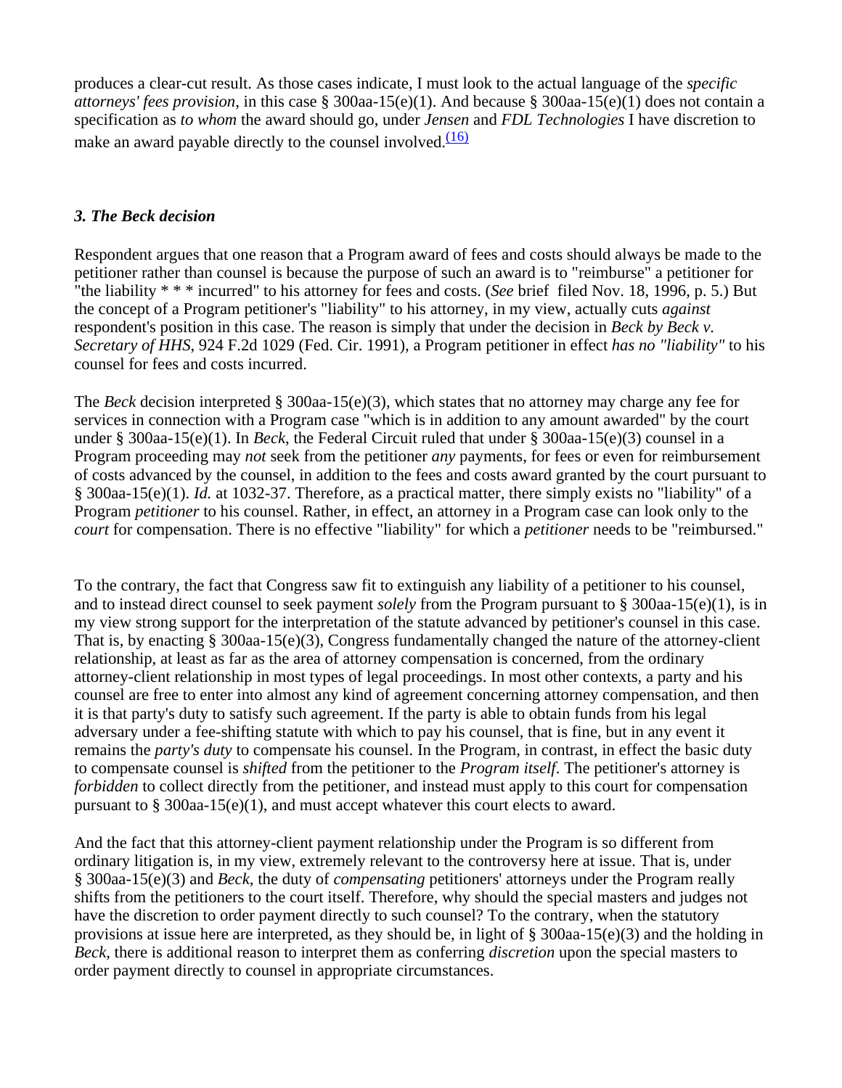produces a clear-cut result. As those cases indicate, I must look to the actual language of the *specific attorneys' fees provision*, in this case § 300aa-15(e)(1). And because § 300aa-15(e)(1) does not contain a specification as *to whom* the award should go, under *Jensen* and *FDL Technologies* I have discretion to make an award payable directly to the counsel involved. $\frac{(16)}{2}$ 

## *3. The Beck decision*

Respondent argues that one reason that a Program award of fees and costs should always be made to the petitioner rather than counsel is because the purpose of such an award is to "reimburse" a petitioner for "the liability \* \* \* incurred" to his attorney for fees and costs. (*See* brief filed Nov. 18, 1996, p. 5.) But the concept of a Program petitioner's "liability" to his attorney, in my view, actually cuts *against* respondent's position in this case. The reason is simply that under the decision in *Beck by Beck v. Secretary of HHS*, 924 F.2d 1029 (Fed. Cir. 1991), a Program petitioner in effect *has no "liability"* to his counsel for fees and costs incurred.

The *Beck* decision interpreted § 300aa-15(e)(3), which states that no attorney may charge any fee for services in connection with a Program case "which is in addition to any amount awarded" by the court under § 300aa-15(e)(1). In *Beck*, the Federal Circuit ruled that under § 300aa-15(e)(3) counsel in a Program proceeding may *not* seek from the petitioner *any* payments, for fees or even for reimbursement of costs advanced by the counsel, in addition to the fees and costs award granted by the court pursuant to § 300aa-15(e)(1). *Id.* at 1032-37. Therefore, as a practical matter, there simply exists no "liability" of a Program *petitioner* to his counsel. Rather, in effect, an attorney in a Program case can look only to the *court* for compensation. There is no effective "liability" for which a *petitioner* needs to be "reimbursed."

To the contrary, the fact that Congress saw fit to extinguish any liability of a petitioner to his counsel, and to instead direct counsel to seek payment *solely* from the Program pursuant to § 300aa-15(e)(1), is in my view strong support for the interpretation of the statute advanced by petitioner's counsel in this case. That is, by enacting § 300aa-15(e)(3), Congress fundamentally changed the nature of the attorney-client relationship, at least as far as the area of attorney compensation is concerned, from the ordinary attorney-client relationship in most types of legal proceedings. In most other contexts, a party and his counsel are free to enter into almost any kind of agreement concerning attorney compensation, and then it is that party's duty to satisfy such agreement. If the party is able to obtain funds from his legal adversary under a fee-shifting statute with which to pay his counsel, that is fine, but in any event it remains the *party's duty* to compensate his counsel. In the Program, in contrast, in effect the basic duty to compensate counsel is *shifted* from the petitioner to the *Program itself*. The petitioner's attorney is *forbidden* to collect directly from the petitioner, and instead must apply to this court for compensation pursuant to § 300aa-15(e)(1), and must accept whatever this court elects to award.

And the fact that this attorney-client payment relationship under the Program is so different from ordinary litigation is, in my view, extremely relevant to the controversy here at issue. That is, under § 300aa-15(e)(3) and *Beck*, the duty of *compensating* petitioners' attorneys under the Program really shifts from the petitioners to the court itself. Therefore, why should the special masters and judges not have the discretion to order payment directly to such counsel? To the contrary, when the statutory provisions at issue here are interpreted, as they should be, in light of § 300aa-15(e)(3) and the holding in *Beck*, there is additional reason to interpret them as conferring *discretion* upon the special masters to order payment directly to counsel in appropriate circumstances.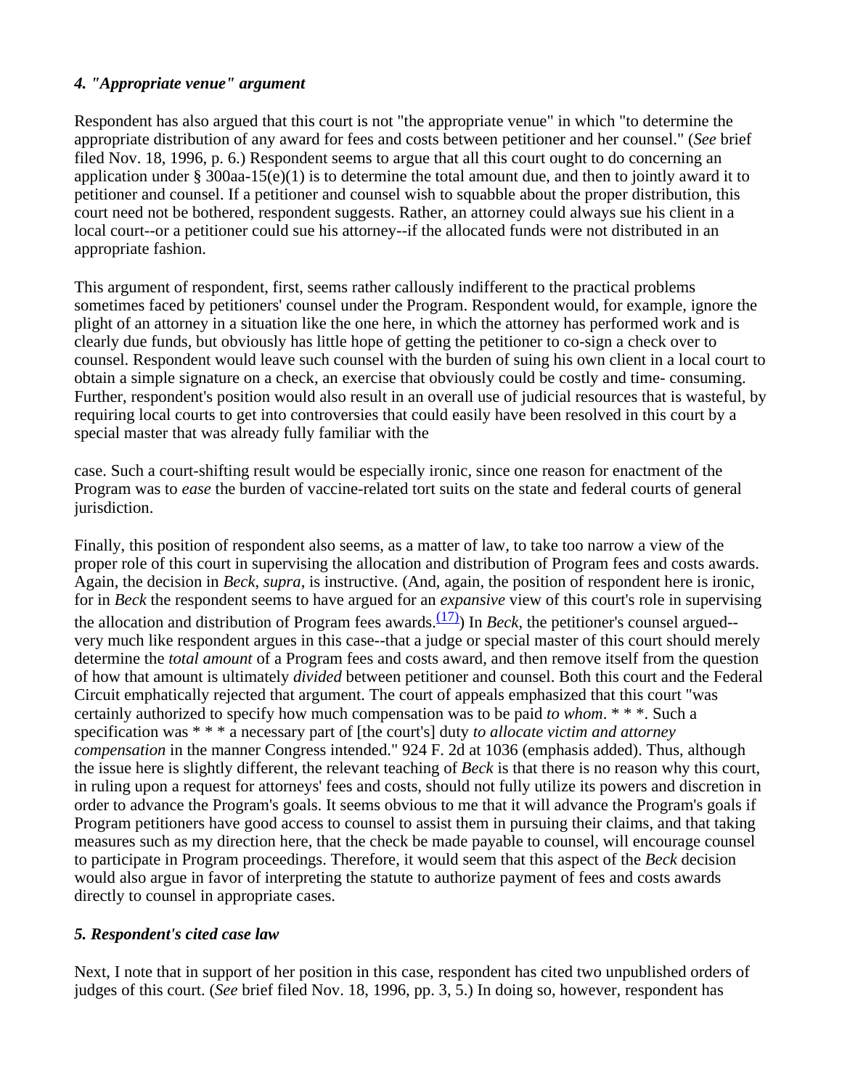# *4. "Appropriate venue" argument*

Respondent has also argued that this court is not "the appropriate venue" in which "to determine the appropriate distribution of any award for fees and costs between petitioner and her counsel." (*See* brief filed Nov. 18, 1996, p. 6.) Respondent seems to argue that all this court ought to do concerning an application under § 300aa-15(e)(1) is to determine the total amount due, and then to jointly award it to petitioner and counsel. If a petitioner and counsel wish to squabble about the proper distribution, this court need not be bothered, respondent suggests. Rather, an attorney could always sue his client in a local court--or a petitioner could sue his attorney--if the allocated funds were not distributed in an appropriate fashion.

This argument of respondent, first, seems rather callously indifferent to the practical problems sometimes faced by petitioners' counsel under the Program. Respondent would, for example, ignore the plight of an attorney in a situation like the one here, in which the attorney has performed work and is clearly due funds, but obviously has little hope of getting the petitioner to co-sign a check over to counsel. Respondent would leave such counsel with the burden of suing his own client in a local court to obtain a simple signature on a check, an exercise that obviously could be costly and time- consuming. Further, respondent's position would also result in an overall use of judicial resources that is wasteful, by requiring local courts to get into controversies that could easily have been resolved in this court by a special master that was already fully familiar with the

case. Such a court-shifting result would be especially ironic, since one reason for enactment of the Program was to *ease* the burden of vaccine-related tort suits on the state and federal courts of general jurisdiction.

Finally, this position of respondent also seems, as a matter of law, to take too narrow a view of the proper role of this court in supervising the allocation and distribution of Program fees and costs awards. Again, the decision in *Beck*, *supra*, is instructive. (And, again, the position of respondent here is ironic, for in *Beck* the respondent seems to have argued for an *expansive* view of this court's role in supervising the allocation and distribution of Program fees awards.<sup>(17)</sup>) In *Beck*, the petitioner's counsel argued-very much like respondent argues in this case--that a judge or special master of this court should merely determine the *total amount* of a Program fees and costs award, and then remove itself from the question of how that amount is ultimately *divided* between petitioner and counsel. Both this court and the Federal Circuit emphatically rejected that argument. The court of appeals emphasized that this court "was certainly authorized to specify how much compensation was to be paid *to whom*. \* \* \*. Such a specification was \* \* \* a necessary part of [the court's] duty *to allocate victim and attorney compensation* in the manner Congress intended." 924 F. 2d at 1036 (emphasis added). Thus, although the issue here is slightly different, the relevant teaching of *Beck* is that there is no reason why this court, in ruling upon a request for attorneys' fees and costs, should not fully utilize its powers and discretion in order to advance the Program's goals. It seems obvious to me that it will advance the Program's goals if Program petitioners have good access to counsel to assist them in pursuing their claims, and that taking measures such as my direction here, that the check be made payable to counsel, will encourage counsel to participate in Program proceedings. Therefore, it would seem that this aspect of the *Beck* decision would also argue in favor of interpreting the statute to authorize payment of fees and costs awards directly to counsel in appropriate cases.

# *5. Respondent's cited case law*

Next, I note that in support of her position in this case, respondent has cited two unpublished orders of judges of this court. (*See* brief filed Nov. 18, 1996, pp. 3, 5.) In doing so, however, respondent has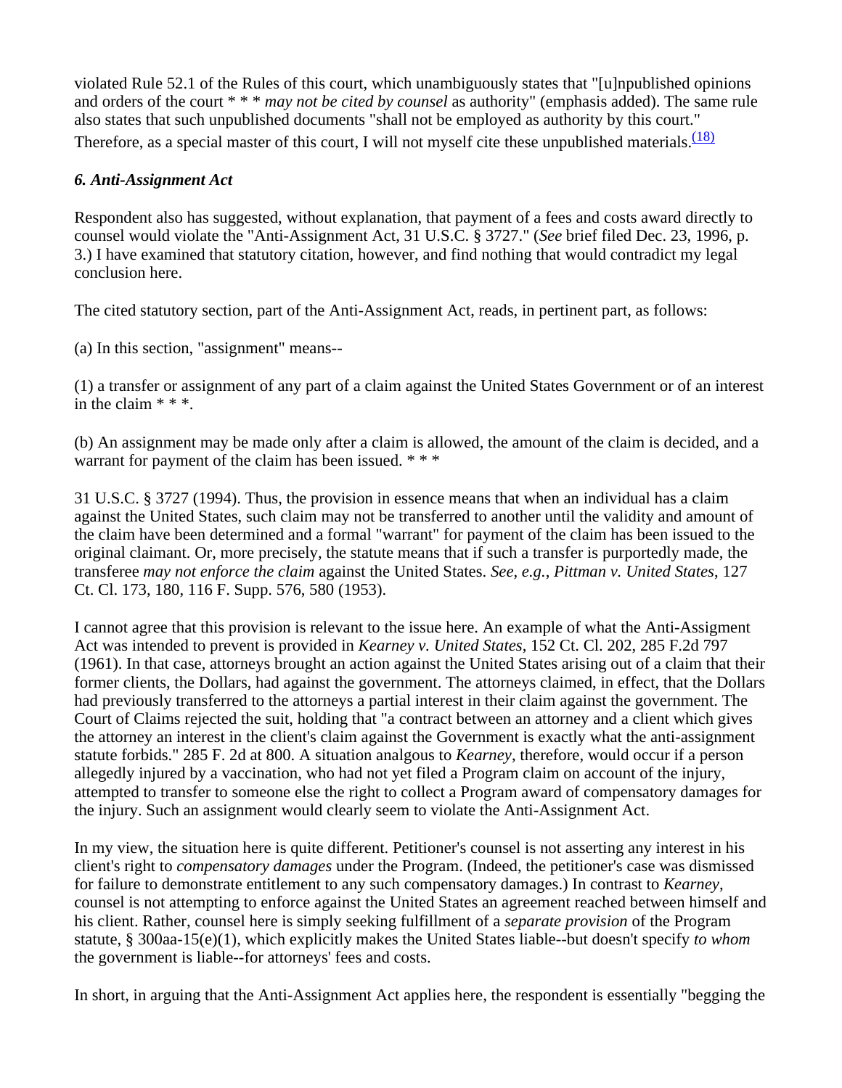violated Rule 52.1 of the Rules of this court, which unambiguously states that "[u]npublished opinions and orders of the court \* \* \* *may not be cited by counsel* as authority" (emphasis added). The same rule also states that such unpublished documents "shall not be employed as authority by this court." Therefore, as a special master of this court, I will not myself cite these unpublished materials. $\frac{(18)}{(18)}$ 

## *6. Anti-Assignment Act*

Respondent also has suggested, without explanation, that payment of a fees and costs award directly to counsel would violate the "Anti-Assignment Act, 31 U.S.C. § 3727." (*See* brief filed Dec. 23, 1996, p. 3.) I have examined that statutory citation, however, and find nothing that would contradict my legal conclusion here.

The cited statutory section, part of the Anti-Assignment Act, reads, in pertinent part, as follows:

(a) In this section, "assignment" means--

(1) a transfer or assignment of any part of a claim against the United States Government or of an interest in the claim \* \* \*.

(b) An assignment may be made only after a claim is allowed, the amount of the claim is decided, and a warrant for payment of the claim has been issued. \*\*\*

31 U.S.C. § 3727 (1994). Thus, the provision in essence means that when an individual has a claim against the United States, such claim may not be transferred to another until the validity and amount of the claim have been determined and a formal "warrant" for payment of the claim has been issued to the original claimant. Or, more precisely, the statute means that if such a transfer is purportedly made, the transferee *may not enforce the claim* against the United States. *See*, *e.g.*, *Pittman v. United States*, 127 Ct. Cl. 173, 180, 116 F. Supp. 576, 580 (1953).

I cannot agree that this provision is relevant to the issue here. An example of what the Anti-Assigment Act was intended to prevent is provided in *Kearney v. United States*, 152 Ct. Cl. 202, 285 F.2d 797 (1961). In that case, attorneys brought an action against the United States arising out of a claim that their former clients, the Dollars, had against the government. The attorneys claimed, in effect, that the Dollars had previously transferred to the attorneys a partial interest in their claim against the government. The Court of Claims rejected the suit, holding that "a contract between an attorney and a client which gives the attorney an interest in the client's claim against the Government is exactly what the anti-assignment statute forbids." 285 F. 2d at 800. A situation analgous to *Kearney*, therefore, would occur if a person allegedly injured by a vaccination, who had not yet filed a Program claim on account of the injury, attempted to transfer to someone else the right to collect a Program award of compensatory damages for the injury. Such an assignment would clearly seem to violate the Anti-Assignment Act.

In my view, the situation here is quite different. Petitioner's counsel is not asserting any interest in his client's right to *compensatory damages* under the Program. (Indeed, the petitioner's case was dismissed for failure to demonstrate entitlement to any such compensatory damages.) In contrast to *Kearney*, counsel is not attempting to enforce against the United States an agreement reached between himself and his client. Rather, counsel here is simply seeking fulfillment of a *separate provision* of the Program statute, § 300aa-15(e)(1), which explicitly makes the United States liable--but doesn't specify *to whom* the government is liable--for attorneys' fees and costs.

In short, in arguing that the Anti-Assignment Act applies here, the respondent is essentially "begging the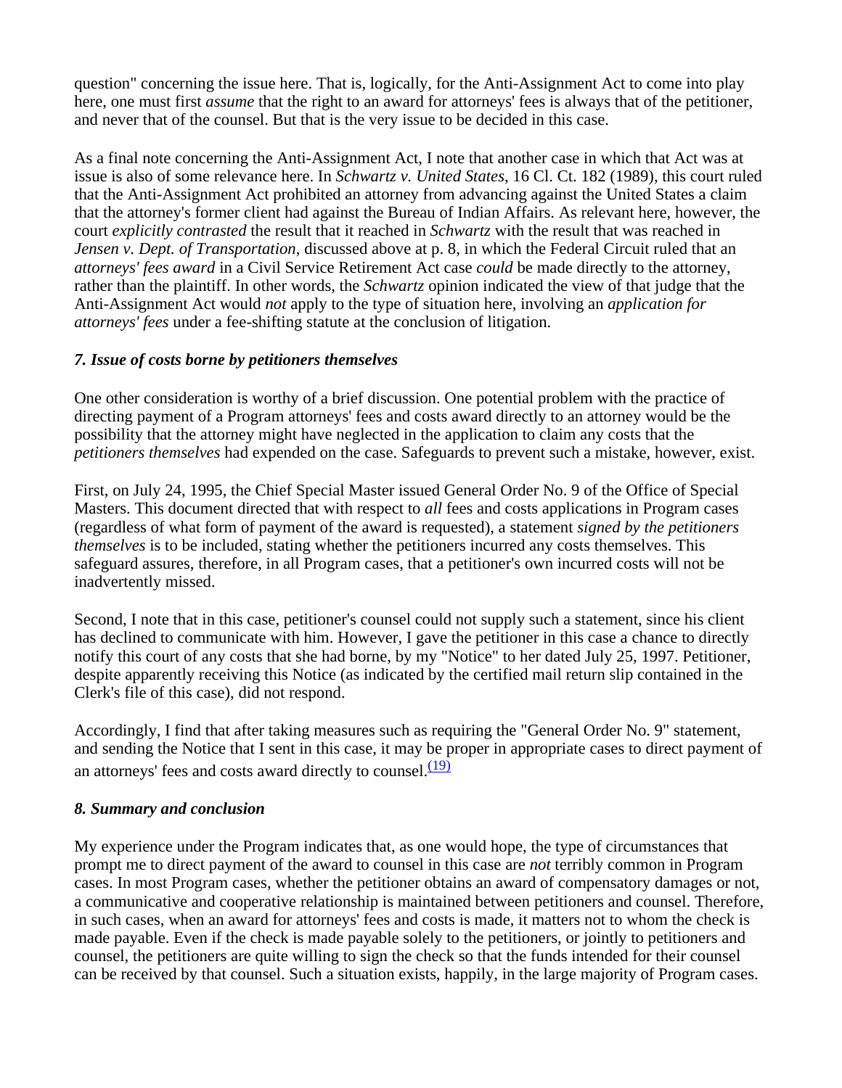question" concerning the issue here. That is, logically, for the Anti-Assignment Act to come into play here, one must first *assume* that the right to an award for attorneys' fees is always that of the petitioner, and never that of the counsel. But that is the very issue to be decided in this case.

As a final note concerning the Anti-Assignment Act, I note that another case in which that Act was at issue is also of some relevance here. In *Schwartz v. United States*, 16 Cl. Ct. 182 (1989), this court ruled that the Anti-Assignment Act prohibited an attorney from advancing against the United States a claim that the attorney's former client had against the Bureau of Indian Affairs. As relevant here, however, the court *explicitly contrasted* the result that it reached in *Schwartz* with the result that was reached in *Jensen v. Dept. of Transportation*, discussed above at p. 8, in which the Federal Circuit ruled that an *attorneys' fees award* in a Civil Service Retirement Act case *could* be made directly to the attorney, rather than the plaintiff. In other words, the *Schwartz* opinion indicated the view of that judge that the Anti-Assignment Act would *not* apply to the type of situation here, involving an *application for attorneys' fees* under a fee-shifting statute at the conclusion of litigation.

# *7. Issue of costs borne by petitioners themselves*

One other consideration is worthy of a brief discussion. One potential problem with the practice of directing payment of a Program attorneys' fees and costs award directly to an attorney would be the possibility that the attorney might have neglected in the application to claim any costs that the *petitioners themselves* had expended on the case. Safeguards to prevent such a mistake, however, exist.

First, on July 24, 1995, the Chief Special Master issued General Order No. 9 of the Office of Special Masters. This document directed that with respect to *all* fees and costs applications in Program cases (regardless of what form of payment of the award is requested), a statement *signed by the petitioners themselves* is to be included, stating whether the petitioners incurred any costs themselves. This safeguard assures, therefore, in all Program cases, that a petitioner's own incurred costs will not be inadvertently missed.

Second, I note that in this case, petitioner's counsel could not supply such a statement, since his client has declined to communicate with him. However, I gave the petitioner in this case a chance to directly notify this court of any costs that she had borne, by my "Notice" to her dated July 25, 1997. Petitioner, despite apparently receiving this Notice (as indicated by the certified mail return slip contained in the Clerk's file of this case), did not respond.

Accordingly, I find that after taking measures such as requiring the "General Order No. 9" statement, and sending the Notice that I sent in this case, it may be proper in appropriate cases to direct payment of an attorneys' fees and costs award directly to counsel. $\frac{(19)}{2}$ 

### *8. Summary and conclusion*

My experience under the Program indicates that, as one would hope, the type of circumstances that prompt me to direct payment of the award to counsel in this case are *not* terribly common in Program cases. In most Program cases, whether the petitioner obtains an award of compensatory damages or not, a communicative and cooperative relationship is maintained between petitioners and counsel. Therefore, in such cases, when an award for attorneys' fees and costs is made, it matters not to whom the check is made payable. Even if the check is made payable solely to the petitioners, or jointly to petitioners and counsel, the petitioners are quite willing to sign the check so that the funds intended for their counsel can be received by that counsel. Such a situation exists, happily, in the large majority of Program cases.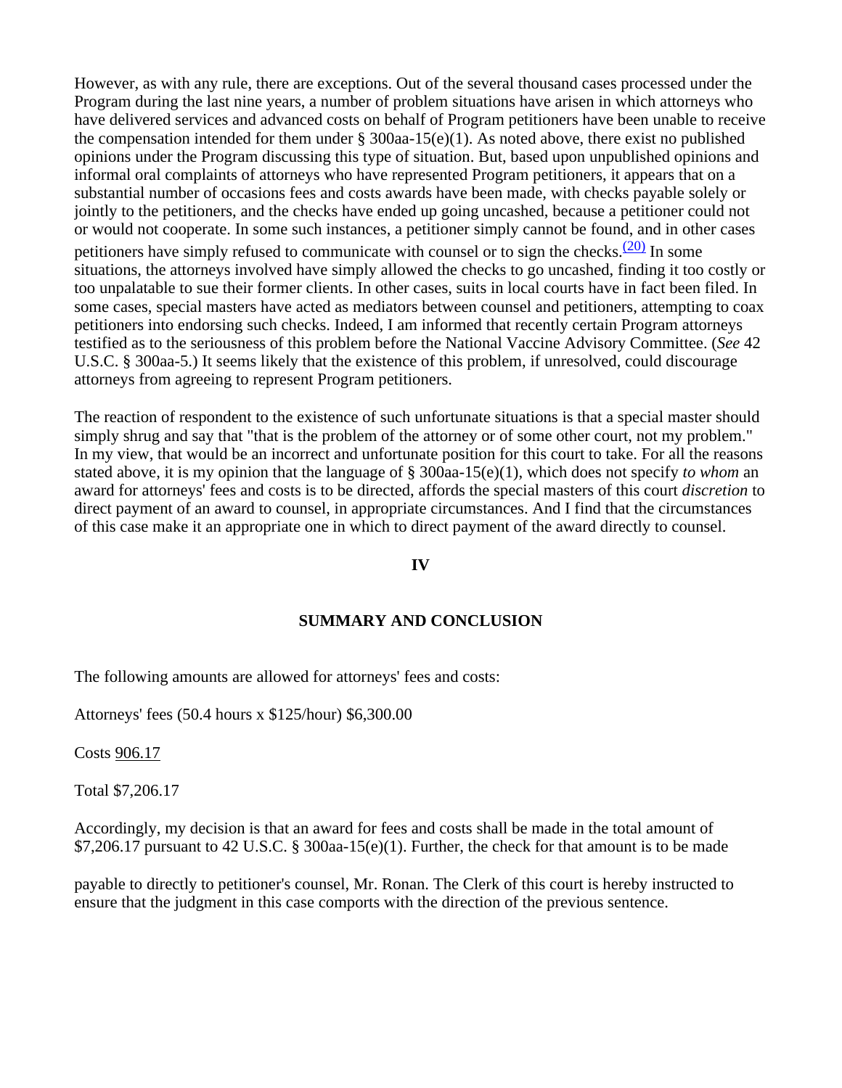However, as with any rule, there are exceptions. Out of the several thousand cases processed under the Program during the last nine years, a number of problem situations have arisen in which attorneys who have delivered services and advanced costs on behalf of Program petitioners have been unable to receive the compensation intended for them under  $\S$  300aa-15(e)(1). As noted above, there exist no published opinions under the Program discussing this type of situation. But, based upon unpublished opinions and informal oral complaints of attorneys who have represented Program petitioners, it appears that on a substantial number of occasions fees and costs awards have been made, with checks payable solely or jointly to the petitioners, and the checks have ended up going uncashed, because a petitioner could not or would not cooperate. In some such instances, a petitioner simply cannot be found, and in other cases petitioners have simply refused to communicate with counsel or to sign the checks.<sup>(20)</sup> In some situations, the attorneys involved have simply allowed the checks to go uncashed, finding it too costly or too unpalatable to sue their former clients. In other cases, suits in local courts have in fact been filed. In some cases, special masters have acted as mediators between counsel and petitioners, attempting to coax petitioners into endorsing such checks. Indeed, I am informed that recently certain Program attorneys testified as to the seriousness of this problem before the National Vaccine Advisory Committee. (*See* 42 U.S.C. § 300aa-5.) It seems likely that the existence of this problem, if unresolved, could discourage attorneys from agreeing to represent Program petitioners.

The reaction of respondent to the existence of such unfortunate situations is that a special master should simply shrug and say that "that is the problem of the attorney or of some other court, not my problem." In my view, that would be an incorrect and unfortunate position for this court to take. For all the reasons stated above, it is my opinion that the language of § 300aa-15(e)(1), which does not specify *to whom* an award for attorneys' fees and costs is to be directed, affords the special masters of this court *discretion* to direct payment of an award to counsel, in appropriate circumstances. And I find that the circumstances of this case make it an appropriate one in which to direct payment of the award directly to counsel.

### **IV**

### **SUMMARY AND CONCLUSION**

The following amounts are allowed for attorneys' fees and costs:

Attorneys' fees (50.4 hours x \$125/hour) \$6,300.00

Costs 906.17

Total \$7,206.17

Accordingly, my decision is that an award for fees and costs shall be made in the total amount of \$7,206.17 pursuant to 42 U.S.C. § 300aa-15(e)(1). Further, the check for that amount is to be made

payable to directly to petitioner's counsel, Mr. Ronan. The Clerk of this court is hereby instructed to ensure that the judgment in this case comports with the direction of the previous sentence.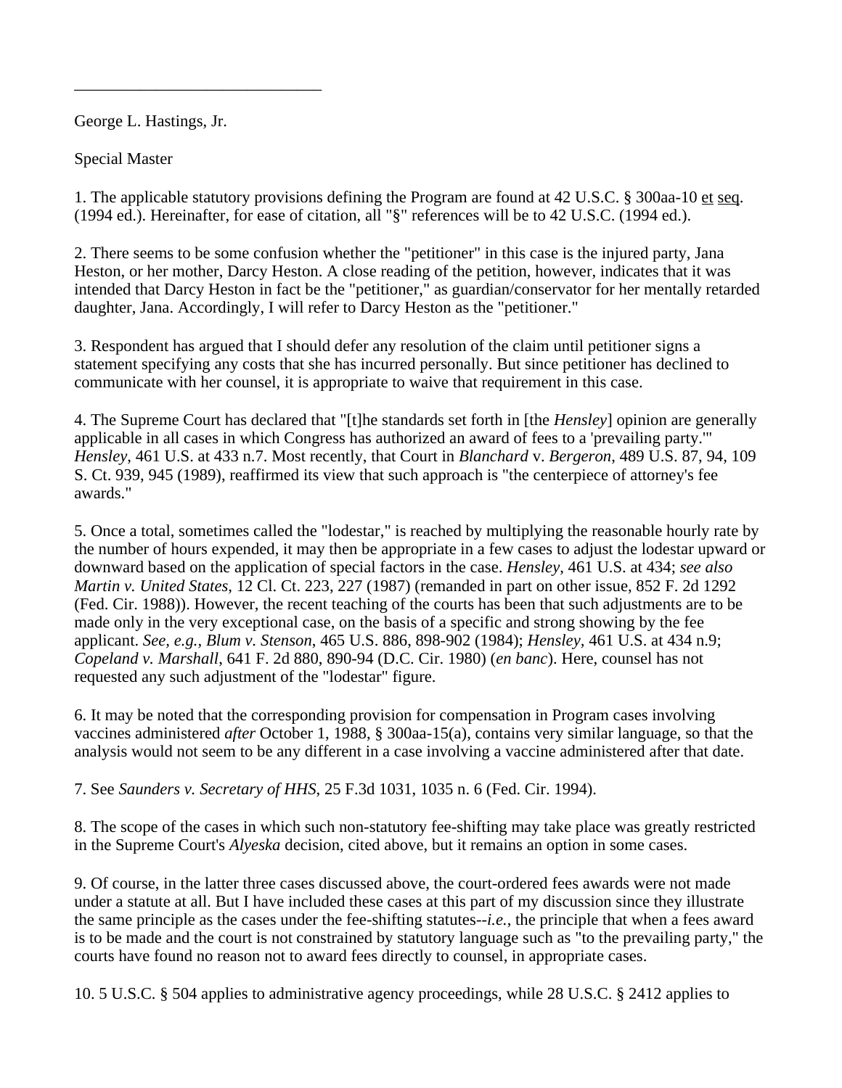George L. Hastings, Jr.

\_\_\_\_\_\_\_\_\_\_\_\_\_\_\_\_\_\_\_\_\_\_\_\_\_\_\_\_\_\_

Special Master

1. The applicable statutory provisions defining the Program are found at 42 U.S.C. § 300aa-10 et seq. (1994 ed.). Hereinafter, for ease of citation, all "§" references will be to 42 U.S.C. (1994 ed.).

2. There seems to be some confusion whether the "petitioner" in this case is the injured party, Jana Heston, or her mother, Darcy Heston. A close reading of the petition, however, indicates that it was intended that Darcy Heston in fact be the "petitioner," as guardian/conservator for her mentally retarded daughter, Jana. Accordingly, I will refer to Darcy Heston as the "petitioner."

3. Respondent has argued that I should defer any resolution of the claim until petitioner signs a statement specifying any costs that she has incurred personally. But since petitioner has declined to communicate with her counsel, it is appropriate to waive that requirement in this case.

4. The Supreme Court has declared that "[t]he standards set forth in [the *Hensley*] opinion are generally applicable in all cases in which Congress has authorized an award of fees to a 'prevailing party.'" *Hensley*, 461 U.S. at 433 n.7. Most recently, that Court in *Blanchard* v. *Bergeron*, 489 U.S. 87, 94, 109 S. Ct. 939, 945 (1989), reaffirmed its view that such approach is "the centerpiece of attorney's fee awards."

5. Once a total, sometimes called the "lodestar," is reached by multiplying the reasonable hourly rate by the number of hours expended, it may then be appropriate in a few cases to adjust the lodestar upward or downward based on the application of special factors in the case. *Hensley*, 461 U.S. at 434; *see also Martin v. United States*, 12 Cl. Ct. 223, 227 (1987) (remanded in part on other issue, 852 F. 2d 1292 (Fed. Cir. 1988)). However, the recent teaching of the courts has been that such adjustments are to be made only in the very exceptional case, on the basis of a specific and strong showing by the fee applicant. *See, e.g., Blum v. Stenson*, 465 U.S. 886, 898-902 (1984); *Hensley,* 461 U.S. at 434 n.9; *Copeland v. Marshall*, 641 F. 2d 880, 890-94 (D.C. Cir. 1980) (*en banc*). Here, counsel has not requested any such adjustment of the "lodestar" figure.

6. It may be noted that the corresponding provision for compensation in Program cases involving vaccines administered *after* October 1, 1988, § 300aa-15(a), contains very similar language, so that the analysis would not seem to be any different in a case involving a vaccine administered after that date.

7. See *Saunders v. Secretary of HHS*, 25 F.3d 1031, 1035 n. 6 (Fed. Cir. 1994).

8. The scope of the cases in which such non-statutory fee-shifting may take place was greatly restricted in the Supreme Court's *Alyeska* decision, cited above, but it remains an option in some cases.

9. Of course, in the latter three cases discussed above, the court-ordered fees awards were not made under a statute at all. But I have included these cases at this part of my discussion since they illustrate the same principle as the cases under the fee-shifting statutes--*i.e.*, the principle that when a fees award is to be made and the court is not constrained by statutory language such as "to the prevailing party," the courts have found no reason not to award fees directly to counsel, in appropriate cases.

10. 5 U.S.C. § 504 applies to administrative agency proceedings, while 28 U.S.C. § 2412 applies to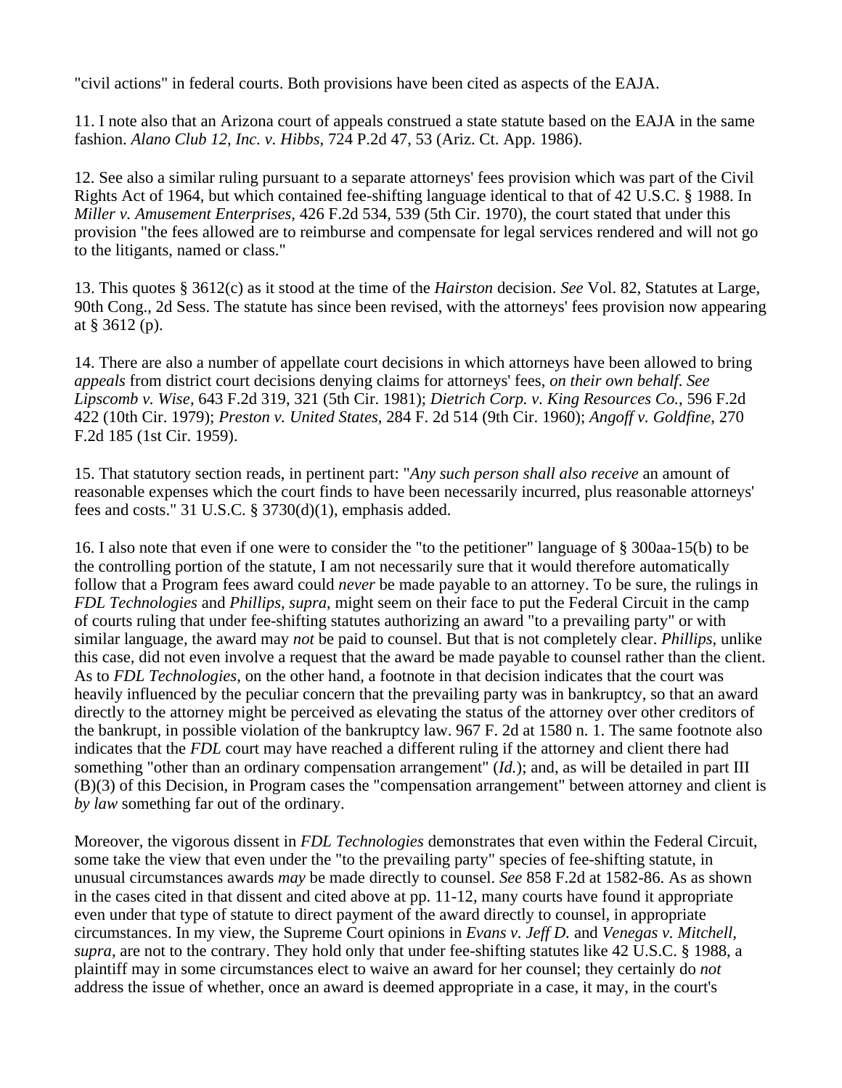"civil actions" in federal courts. Both provisions have been cited as aspects of the EAJA.

11. I note also that an Arizona court of appeals construed a state statute based on the EAJA in the same fashion. *Alano Club 12, Inc. v. Hibbs*, 724 P.2d 47, 53 (Ariz. Ct. App. 1986).

12. See also a similar ruling pursuant to a separate attorneys' fees provision which was part of the Civil Rights Act of 1964, but which contained fee-shifting language identical to that of 42 U.S.C. § 1988. In *Miller v. Amusement Enterprises*, 426 F.2d 534, 539 (5th Cir. 1970), the court stated that under this provision "the fees allowed are to reimburse and compensate for legal services rendered and will not go to the litigants, named or class."

13. This quotes § 3612(c) as it stood at the time of the *Hairston* decision. *See* Vol. 82, Statutes at Large, 90th Cong., 2d Sess. The statute has since been revised, with the attorneys' fees provision now appearing at § 3612 (p).

14. There are also a number of appellate court decisions in which attorneys have been allowed to bring *appeals* from district court decisions denying claims for attorneys' fees, *on their own behalf*. *See Lipscomb v. Wise*, 643 F.2d 319, 321 (5th Cir. 1981); *Dietrich Corp. v. King Resources Co.*, 596 F.2d 422 (10th Cir. 1979); *Preston v. United States*, 284 F. 2d 514 (9th Cir. 1960); *Angoff v. Goldfine*, 270 F.2d 185 (1st Cir. 1959).

15. That statutory section reads, in pertinent part: "*Any such person shall also receive* an amount of reasonable expenses which the court finds to have been necessarily incurred, plus reasonable attorneys' fees and costs." 31 U.S.C. § 3730(d)(1), emphasis added.

16. I also note that even if one were to consider the "to the petitioner" language of § 300aa-15(b) to be the controlling portion of the statute, I am not necessarily sure that it would therefore automatically follow that a Program fees award could *never* be made payable to an attorney. To be sure, the rulings in *FDL Technologies* and *Phillips, supra*, might seem on their face to put the Federal Circuit in the camp of courts ruling that under fee-shifting statutes authorizing an award "to a prevailing party" or with similar language, the award may *not* be paid to counsel. But that is not completely clear. *Phillips*, unlike this case, did not even involve a request that the award be made payable to counsel rather than the client. As to *FDL Technologies*, on the other hand, a footnote in that decision indicates that the court was heavily influenced by the peculiar concern that the prevailing party was in bankruptcy, so that an award directly to the attorney might be perceived as elevating the status of the attorney over other creditors of the bankrupt, in possible violation of the bankruptcy law. 967 F. 2d at 1580 n. 1. The same footnote also indicates that the *FDL* court may have reached a different ruling if the attorney and client there had something "other than an ordinary compensation arrangement" (*Id.*); and, as will be detailed in part III (B)(3) of this Decision, in Program cases the "compensation arrangement" between attorney and client is *by law* something far out of the ordinary.

Moreover, the vigorous dissent in *FDL Technologies* demonstrates that even within the Federal Circuit, some take the view that even under the "to the prevailing party" species of fee-shifting statute, in unusual circumstances awards *may* be made directly to counsel. *See* 858 F.2d at 1582-86. As as shown in the cases cited in that dissent and cited above at pp. 11-12, many courts have found it appropriate even under that type of statute to direct payment of the award directly to counsel, in appropriate circumstances. In my view, the Supreme Court opinions in *Evans v. Jeff D.* and *Venegas v. Mitchell, supra*, are not to the contrary. They hold only that under fee-shifting statutes like 42 U.S.C. § 1988, a plaintiff may in some circumstances elect to waive an award for her counsel; they certainly do *not* address the issue of whether, once an award is deemed appropriate in a case, it may, in the court's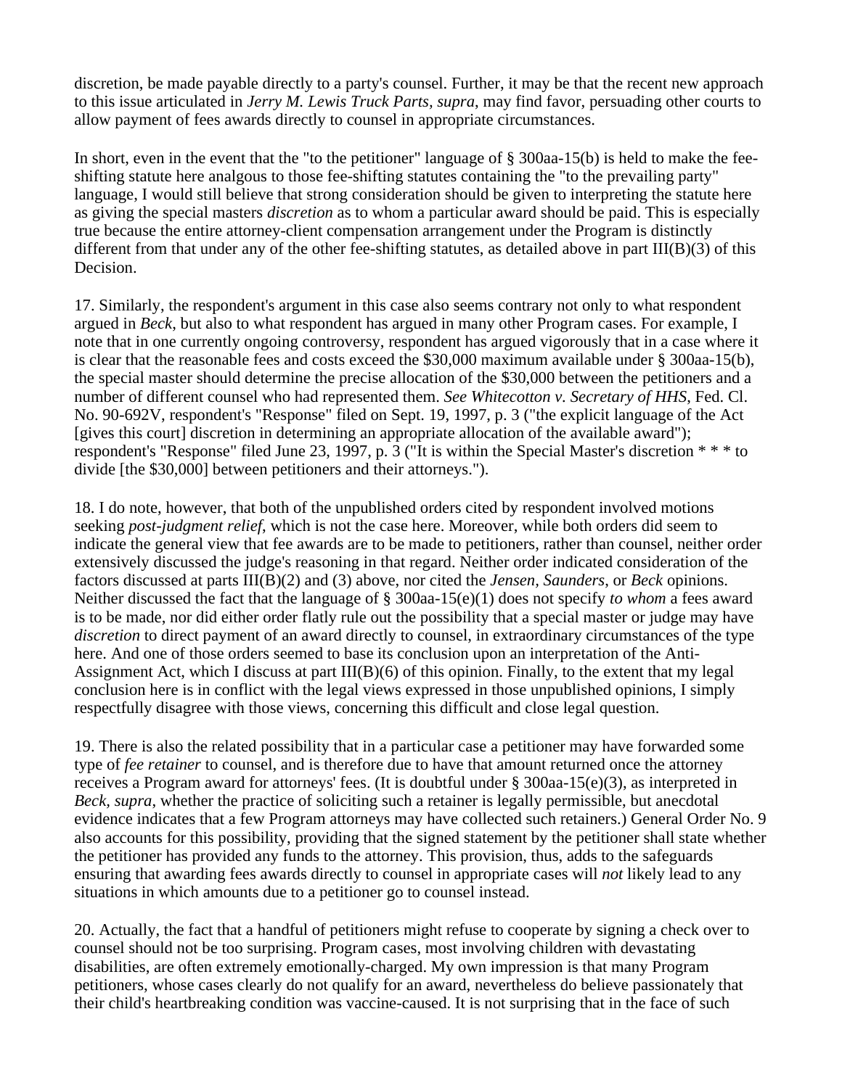discretion, be made payable directly to a party's counsel. Further, it may be that the recent new approach to this issue articulated in *Jerry M. Lewis Truck Parts, supra*, may find favor, persuading other courts to allow payment of fees awards directly to counsel in appropriate circumstances.

In short, even in the event that the "to the petitioner" language of § 300aa-15(b) is held to make the feeshifting statute here analgous to those fee-shifting statutes containing the "to the prevailing party" language, I would still believe that strong consideration should be given to interpreting the statute here as giving the special masters *discretion* as to whom a particular award should be paid. This is especially true because the entire attorney-client compensation arrangement under the Program is distinctly different from that under any of the other fee-shifting statutes, as detailed above in part III(B)(3) of this Decision.

17. Similarly, the respondent's argument in this case also seems contrary not only to what respondent argued in *Beck*, but also to what respondent has argued in many other Program cases. For example, I note that in one currently ongoing controversy, respondent has argued vigorously that in a case where it is clear that the reasonable fees and costs exceed the \$30,000 maximum available under § 300aa-15(b), the special master should determine the precise allocation of the \$30,000 between the petitioners and a number of different counsel who had represented them. *See Whitecotton v. Secretary of HHS*, Fed. Cl. No. 90-692V, respondent's "Response" filed on Sept. 19, 1997, p. 3 ("the explicit language of the Act [gives this court] discretion in determining an appropriate allocation of the available award"); respondent's "Response" filed June 23, 1997, p. 3 ("It is within the Special Master's discretion \* \* \* to divide [the \$30,000] between petitioners and their attorneys.").

18. I do note, however, that both of the unpublished orders cited by respondent involved motions seeking *post-judgment relief*, which is not the case here. Moreover, while both orders did seem to indicate the general view that fee awards are to be made to petitioners, rather than counsel, neither order extensively discussed the judge's reasoning in that regard. Neither order indicated consideration of the factors discussed at parts III(B)(2) and (3) above, nor cited the *Jensen, Saunders*, or *Beck* opinions. Neither discussed the fact that the language of § 300aa-15(e)(1) does not specify *to whom* a fees award is to be made, nor did either order flatly rule out the possibility that a special master or judge may have *discretion* to direct payment of an award directly to counsel, in extraordinary circumstances of the type here. And one of those orders seemed to base its conclusion upon an interpretation of the Anti-Assignment Act, which I discuss at part III(B)(6) of this opinion. Finally, to the extent that my legal conclusion here is in conflict with the legal views expressed in those unpublished opinions, I simply respectfully disagree with those views, concerning this difficult and close legal question.

19. There is also the related possibility that in a particular case a petitioner may have forwarded some type of *fee retainer* to counsel, and is therefore due to have that amount returned once the attorney receives a Program award for attorneys' fees. (It is doubtful under § 300aa-15(e)(3), as interpreted in *Beck, supra*, whether the practice of soliciting such a retainer is legally permissible, but anecdotal evidence indicates that a few Program attorneys may have collected such retainers.) General Order No. 9 also accounts for this possibility, providing that the signed statement by the petitioner shall state whether the petitioner has provided any funds to the attorney. This provision, thus, adds to the safeguards ensuring that awarding fees awards directly to counsel in appropriate cases will *not* likely lead to any situations in which amounts due to a petitioner go to counsel instead.

20. Actually, the fact that a handful of petitioners might refuse to cooperate by signing a check over to counsel should not be too surprising. Program cases, most involving children with devastating disabilities, are often extremely emotionally-charged. My own impression is that many Program petitioners, whose cases clearly do not qualify for an award, nevertheless do believe passionately that their child's heartbreaking condition was vaccine-caused. It is not surprising that in the face of such